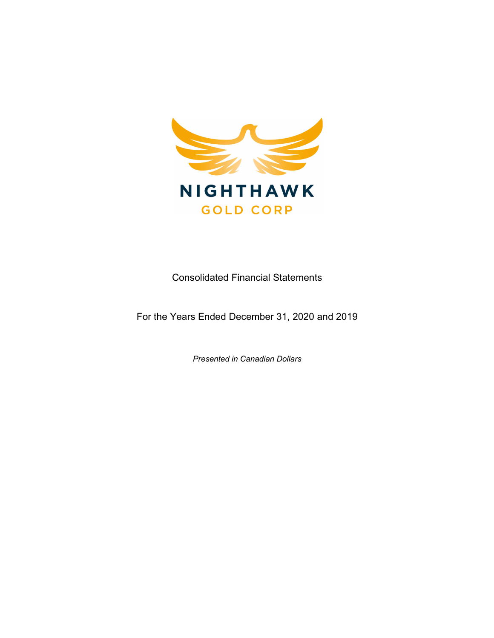

Consolidated Financial Statements

For the Years Ended December 31, 2020 and 2019

Presented in Canadian Dollars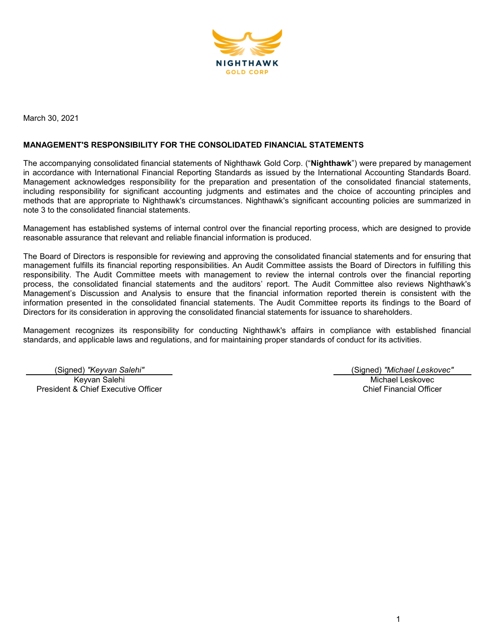

March 30, 2021

## MANAGEMENT'S RESPONSIBILITY FOR THE CONSOLIDATED FINANCIAL STATEMENTS

The accompanying consolidated financial statements of Nighthawk Gold Corp. ("Nighthawk") were prepared by management in accordance with International Financial Reporting Standards as issued by the International Accounting Standards Board. Management acknowledges responsibility for the preparation and presentation of the consolidated financial statements, including responsibility for significant accounting judgments and estimates and the choice of accounting principles and methods that are appropriate to Nighthawk's circumstances. Nighthawk's significant accounting policies are summarized in note 3 to the consolidated financial statements.

Management has established systems of internal control over the financial reporting process, which are designed to provide reasonable assurance that relevant and reliable financial information is produced.

The Board of Directors is responsible for reviewing and approving the consolidated financial statements and for ensuring that management fulfills its financial reporting responsibilities. An Audit Committee assists the Board of Directors in fulfilling this responsibility. The Audit Committee meets with management to review the internal controls over the financial reporting process, the consolidated financial statements and the auditors' report. The Audit Committee also reviews Nighthawk's Management's Discussion and Analysis to ensure that the financial information reported therein is consistent with the information presented in the consolidated financial statements. The Audit Committee reports its findings to the Board of Directors for its consideration in approving the consolidated financial statements for issuance to shareholders.

Management recognizes its responsibility for conducting Nighthawk's affairs in compliance with established financial standards, and applicable laws and regulations, and for maintaining proper standards of conduct for its activities.

Keyvan Salehi President & Chief Executive Officer

(Signed) "Keyvan Salehi" (Signed) "Michael Leskovec" Michael Leskovec Chief Financial Officer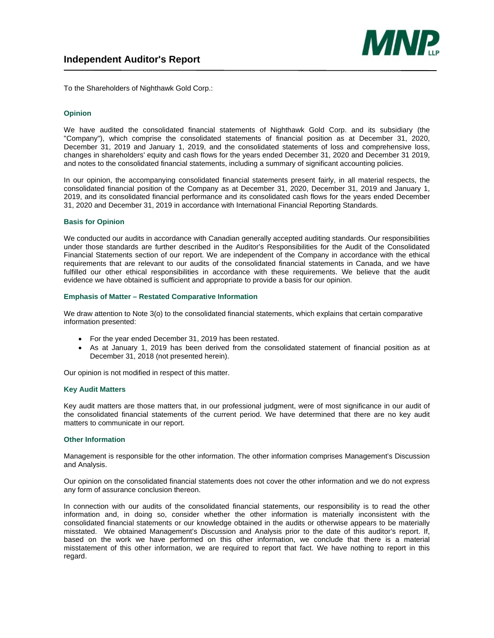

To the Shareholders of Nighthawk Gold Corp.:

#### **Opinion**

We have audited the consolidated financial statements of Nighthawk Gold Corp. and its subsidiary (the "Company"), which comprise the consolidated statements of financial position as at December 31, 2020, December 31, 2019 and January 1, 2019, and the consolidated statements of loss and comprehensive loss, changes in shareholders' equity and cash flows for the years ended December 31, 2020 and December 31 2019, and notes to the consolidated financial statements, including a summary of significant accounting policies.

In our opinion, the accompanying consolidated financial statements present fairly, in all material respects, the consolidated financial position of the Company as at December 31, 2020, December 31, 2019 and January 1, 2019, and its consolidated financial performance and its consolidated cash flows for the years ended December 31, 2020 and December 31, 2019 in accordance with International Financial Reporting Standards.

#### **Basis for Opinion**

We conducted our audits in accordance with Canadian generally accepted auditing standards. Our responsibilities under those standards are further described in the Auditor's Responsibilities for the Audit of the Consolidated Financial Statements section of our report. We are independent of the Company in accordance with the ethical requirements that are relevant to our audits of the consolidated financial statements in Canada, and we have fulfilled our other ethical responsibilities in accordance with these requirements. We believe that the audit evidence we have obtained is sufficient and appropriate to provide a basis for our opinion.

#### **Emphasis of Matter – Restated Comparative Information**

We draw attention to Note 3(o) to the consolidated financial statements, which explains that certain comparative information presented:

- For the year ended December 31, 2019 has been restated.
- As at January 1, 2019 has been derived from the consolidated statement of financial position as at December 31, 2018 (not presented herein).

Our opinion is not modified in respect of this matter.

#### **Key Audit Matters**

Key audit matters are those matters that, in our professional judgment, were of most significance in our audit of the consolidated financial statements of the current period. We have determined that there are no key audit matters to communicate in our report.

#### **Other Information**

Management is responsible for the other information. The other information comprises Management's Discussion and Analysis.

Our opinion on the consolidated financial statements does not cover the other information and we do not express any form of assurance conclusion thereon.

In connection with our audits of the consolidated financial statements, our responsibility is to read the other information and, in doing so, consider whether the other information is materially inconsistent with the consolidated financial statements or our knowledge obtained in the audits or otherwise appears to be materially misstated. We obtained Management's Discussion and Analysis prior to the date of this auditor's report. If, based on the work we have performed on this other information, we conclude that there is a material misstatement of this other information, we are required to report that fact. We have nothing to report in this regard.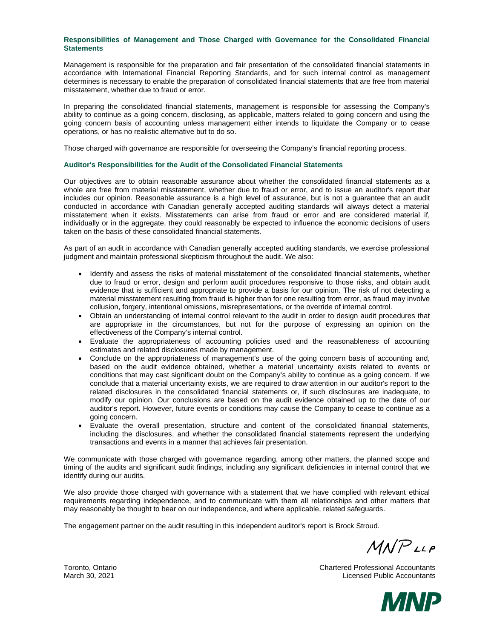#### **Responsibilities of Management and Those Charged with Governance for the Consolidated Financial Statements**

Management is responsible for the preparation and fair presentation of the consolidated financial statements in accordance with International Financial Reporting Standards, and for such internal control as management determines is necessary to enable the preparation of consolidated financial statements that are free from material misstatement, whether due to fraud or error.

In preparing the consolidated financial statements, management is responsible for assessing the Company's ability to continue as a going concern, disclosing, as applicable, matters related to going concern and using the going concern basis of accounting unless management either intends to liquidate the Company or to cease operations, or has no realistic alternative but to do so.

Those charged with governance are responsible for overseeing the Company's financial reporting process.

#### **Auditor's Responsibilities for the Audit of the Consolidated Financial Statements**

Our objectives are to obtain reasonable assurance about whether the consolidated financial statements as a whole are free from material misstatement, whether due to fraud or error, and to issue an auditor's report that includes our opinion. Reasonable assurance is a high level of assurance, but is not a guarantee that an audit conducted in accordance with Canadian generally accepted auditing standards will always detect a material misstatement when it exists. Misstatements can arise from fraud or error and are considered material if, individually or in the aggregate, they could reasonably be expected to influence the economic decisions of users taken on the basis of these consolidated financial statements.

As part of an audit in accordance with Canadian generally accepted auditing standards, we exercise professional judgment and maintain professional skepticism throughout the audit. We also:

- Identify and assess the risks of material misstatement of the consolidated financial statements, whether due to fraud or error, design and perform audit procedures responsive to those risks, and obtain audit evidence that is sufficient and appropriate to provide a basis for our opinion. The risk of not detecting a material misstatement resulting from fraud is higher than for one resulting from error, as fraud may involve collusion, forgery, intentional omissions, misrepresentations, or the override of internal control.
- Obtain an understanding of internal control relevant to the audit in order to design audit procedures that are appropriate in the circumstances, but not for the purpose of expressing an opinion on the effectiveness of the Company's internal control.
- Evaluate the appropriateness of accounting policies used and the reasonableness of accounting estimates and related disclosures made by management.
- Conclude on the appropriateness of management's use of the going concern basis of accounting and, based on the audit evidence obtained, whether a material uncertainty exists related to events or conditions that may cast significant doubt on the Company's ability to continue as a going concern. If we conclude that a material uncertainty exists, we are required to draw attention in our auditor's report to the related disclosures in the consolidated financial statements or, if such disclosures are inadequate, to modify our opinion. Our conclusions are based on the audit evidence obtained up to the date of our auditor's report. However, future events or conditions may cause the Company to cease to continue as a going concern.
- Evaluate the overall presentation, structure and content of the consolidated financial statements, including the disclosures, and whether the consolidated financial statements represent the underlying transactions and events in a manner that achieves fair presentation.

We communicate with those charged with governance regarding, among other matters, the planned scope and timing of the audits and significant audit findings, including any significant deficiencies in internal control that we identify during our audits.

We also provide those charged with governance with a statement that we have complied with relevant ethical requirements regarding independence, and to communicate with them all relationships and other matters that may reasonably be thought to bear on our independence, and where applicable, related safeguards.

The engagement partner on the audit resulting in this independent auditor's report is Brock Stroud.

 $MNPLLP$ 

Toronto, Ontario Chartered Professional Accountants Licensed Public Accountants

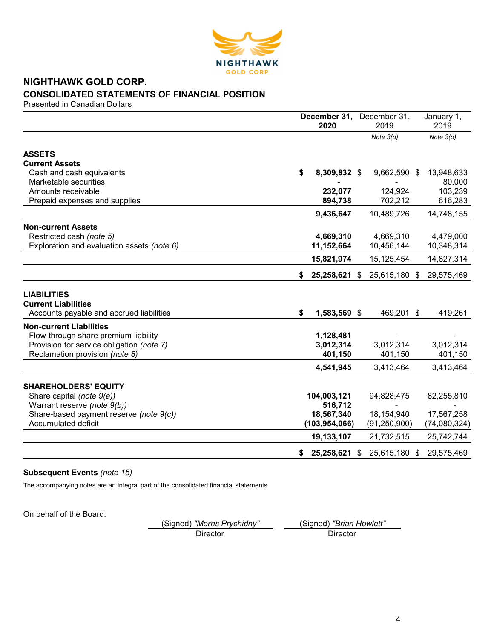

# NIGHTHAWK GOLD CORP. CONSOLIDATED STATEMENTS OF FINANCIAL POSITION

Presented in Canadian Dollars

|                                            | 2020                | December 31, December 31,<br>2019 | January 1,<br>2019 |
|--------------------------------------------|---------------------|-----------------------------------|--------------------|
|                                            |                     | Note $3(0)$                       | Note $3(0)$        |
| <b>ASSETS</b>                              |                     |                                   |                    |
| <b>Current Assets</b>                      |                     |                                   |                    |
| Cash and cash equivalents                  | \$<br>8,309,832 \$  | 9,662,590 \$                      | 13,948,633         |
| Marketable securities                      |                     |                                   | 80,000             |
| Amounts receivable                         | 232,077             | 124,924                           | 103,239            |
| Prepaid expenses and supplies              | 894,738             | 702,212                           | 616,283            |
|                                            | 9,436,647           | 10,489,726                        | 14,748,155         |
| <b>Non-current Assets</b>                  |                     |                                   |                    |
| Restricted cash (note 5)                   | 4,669,310           | 4,669,310                         | 4,479,000          |
| Exploration and evaluation assets (note 6) | 11,152,664          | 10,456,144                        | 10,348,314         |
|                                            | 15,821,974          | 15,125,454                        | 14,827,314         |
|                                            | \$<br>25,258,621 \$ | 25,615,180 \$                     | 29,575,469         |
|                                            |                     |                                   |                    |
| <b>LIABILITIES</b>                         |                     |                                   |                    |
| <b>Current Liabilities</b>                 |                     |                                   |                    |
| Accounts payable and accrued liabilities   | \$<br>1,583,569 \$  | 469,201 \$                        | 419,261            |
| <b>Non-current Liabilities</b>             |                     |                                   |                    |
| Flow-through share premium liability       | 1,128,481           |                                   |                    |
| Provision for service obligation (note 7)  | 3,012,314           | 3,012,314                         | 3,012,314          |
| Reclamation provision (note 8)             | 401,150             | 401,150                           | 401,150            |
|                                            | 4,541,945           | 3,413,464                         | 3,413,464          |
|                                            |                     |                                   |                    |
| <b>SHAREHOLDERS' EQUITY</b>                |                     |                                   |                    |
| Share capital (note 9(a))                  | 104,003,121         | 94,828,475                        | 82,255,810         |
| Warrant reserve (note 9(b))                | 516,712             |                                   |                    |
| Share-based payment reserve (note 9(c))    | 18,567,340          | 18,154,940                        | 17,567,258         |
| Accumulated deficit                        | (103, 954, 066)     | (91, 250, 900)                    | (74,080,324)       |
|                                            | 19,133,107          | 21,732,515                        | 25,742,744         |
|                                            | \$<br>25,258,621    | 25,615,180 \$<br>\$               | 29,575,469         |

# Subsequent Events (note 15)

The accompanying notes are an integral part of the consolidated financial statements

On behalf of the Board:

(Signed) "Morris Prychidny" (Signed) "Brian Howlett" Director Director Director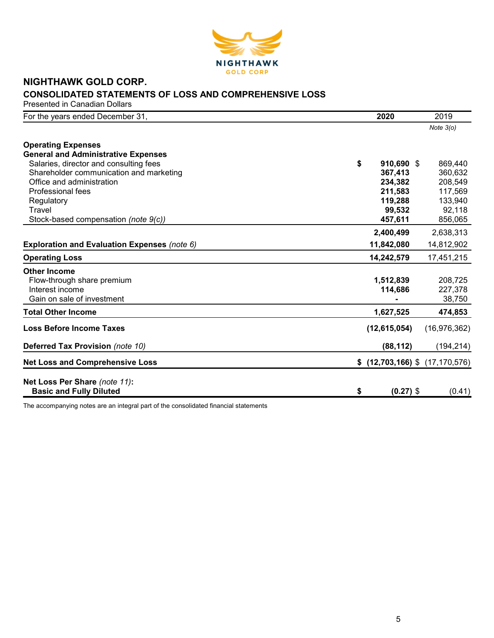

# NIGHTHAWK GOLD CORP. CONSOLIDATED STATEMENTS OF LOSS AND COMPREHENSIVE LOSS

Presented in Canadian Dollars

| For the years ended December 31,             | 2020                    | 2019           |
|----------------------------------------------|-------------------------|----------------|
|                                              |                         | Note 3(0)      |
| <b>Operating Expenses</b>                    |                         |                |
| <b>General and Administrative Expenses</b>   |                         |                |
| Salaries, director and consulting fees       | \$<br>910,690 \$        | 869,440        |
| Shareholder communication and marketing      | 367,413                 | 360,632        |
| Office and administration                    | 234,382                 | 208,549        |
| <b>Professional fees</b>                     | 211,583                 | 117,569        |
| Regulatory                                   | 119,288                 | 133,940        |
| Travel                                       | 99,532                  | 92,118         |
| Stock-based compensation (note 9(c))         | 457,611                 | 856,065        |
|                                              | 2,400,499               | 2,638,313      |
| Exploration and Evaluation Expenses (note 6) | 11,842,080              | 14,812,902     |
| <b>Operating Loss</b>                        | 14,242,579              | 17,451,215     |
| <b>Other Income</b>                          |                         |                |
| Flow-through share premium                   | 1,512,839               | 208,725        |
| Interest income                              | 114,686                 | 227,378        |
| Gain on sale of investment                   |                         | 38,750         |
| <b>Total Other Income</b>                    | 1,627,525               | 474,853        |
| Loss Before Income Taxes                     | (12,615,054)            | (16, 976, 362) |
| Deferred Tax Provision (note 10)             | (88, 112)               | (194, 214)     |
| <b>Net Loss and Comprehensive Loss</b>       | \$<br>$(12,703,166)$ \$ | (17, 170, 576) |
| Net Loss Per Share (note 11):                |                         |                |
| <b>Basic and Fully Diluted</b>               | \$<br>$(0.27)$ \$       | (0.41)         |
|                                              |                         |                |

The accompanying notes are an integral part of the consolidated financial statements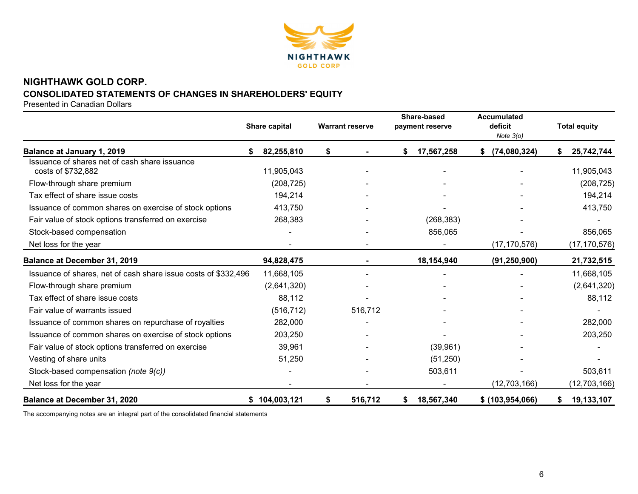

# NIGHTHAWK GOLD CORP. CONSOLIDATED STATEMENTS OF CHANGES IN SHAREHOLDERS' EQUITY

Presented in Canadian Dollars

|                                                                     | Share capital | <b>Warrant reserve</b> |    | Share-based<br>payment reserve | <b>Accumulated</b><br>deficit<br>Note $3(0)$ |    | <b>Total equity</b> |
|---------------------------------------------------------------------|---------------|------------------------|----|--------------------------------|----------------------------------------------|----|---------------------|
| Balance at January 1, 2019                                          | 82,255,810    | \$                     | S. | 17,567,258                     | (74,080,324)<br>S.                           |    | 25,742,744          |
| Issuance of shares net of cash share issuance<br>costs of \$732,882 | 11,905,043    |                        |    |                                |                                              |    | 11,905,043          |
| Flow-through share premium                                          | (208, 725)    |                        |    |                                |                                              |    | (208, 725)          |
| Tax effect of share issue costs                                     | 194,214       |                        |    |                                |                                              |    | 194,214             |
| Issuance of common shares on exercise of stock options              | 413,750       |                        |    |                                |                                              |    | 413,750             |
| Fair value of stock options transferred on exercise                 | 268,383       |                        |    | (268, 383)                     |                                              |    |                     |
| Stock-based compensation                                            |               |                        |    | 856,065                        |                                              |    | 856,065             |
| Net loss for the year                                               |               |                        |    |                                | (17, 170, 576)                               |    | (17, 170, 576)      |
| Balance at December 31, 2019                                        | 94,828,475    |                        |    | 18,154,940                     | (91, 250, 900)                               |    | 21,732,515          |
| Issuance of shares, net of cash share issue costs of \$332,496      | 11,668,105    |                        |    |                                |                                              |    | 11,668,105          |
| Flow-through share premium                                          | (2,641,320)   |                        |    |                                |                                              |    | (2,641,320)         |
| Tax effect of share issue costs                                     | 88,112        |                        |    |                                |                                              |    | 88,112              |
| Fair value of warrants issued                                       | (516, 712)    | 516,712                |    |                                |                                              |    |                     |
| Issuance of common shares on repurchase of royalties                | 282,000       |                        |    |                                |                                              |    | 282,000             |
| Issuance of common shares on exercise of stock options              | 203,250       |                        |    |                                |                                              |    | 203,250             |
| Fair value of stock options transferred on exercise                 | 39,961        |                        |    | (39, 961)                      |                                              |    |                     |
| Vesting of share units                                              | 51,250        |                        |    | (51, 250)                      |                                              |    |                     |
| Stock-based compensation (note 9(c))                                |               |                        |    | 503,611                        |                                              |    | 503,611             |
| Net loss for the year                                               |               |                        |    |                                | (12, 703, 166)                               |    | (12, 703, 166)      |
| <b>Balance at December 31, 2020</b>                                 | \$104,003,121 | \$<br>516,712          | \$ | 18,567,340                     | \$ (103, 954, 066)                           | S. | 19,133,107          |

The accompanying notes are an integral part of the consolidated financial statements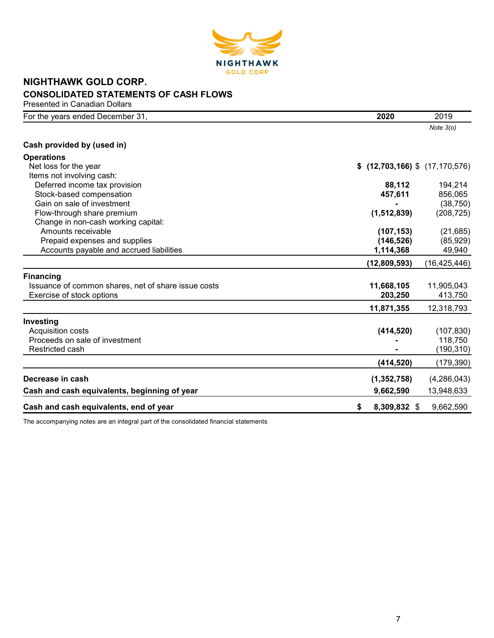

# NIGHTHAWK GOLD CORP. CONSOLIDATED STATEMENTS OF CASH FLOWS

Presented in Canadian Dollars

| For the years ended December 31,                    | 2020                              | 2019           |
|-----------------------------------------------------|-----------------------------------|----------------|
|                                                     |                                   | Note 3(0)      |
| Cash provided by (used in)                          |                                   |                |
| <b>Operations</b>                                   |                                   |                |
| Net loss for the year                               | $$$ (12,703,166) $$$ (17,170,576) |                |
| Items not involving cash:                           |                                   |                |
| Deferred income tax provision                       | 88,112                            | 194,214        |
| Stock-based compensation                            | 457,611                           | 856,065        |
| Gain on sale of investment                          |                                   | (38, 750)      |
| Flow-through share premium                          | (1,512,839)                       | (208, 725)     |
| Change in non-cash working capital:                 |                                   |                |
| Amounts receivable                                  | (107, 153)                        | (21, 685)      |
| Prepaid expenses and supplies                       | (146, 526)                        | (85, 929)      |
| Accounts payable and accrued liabilities            | 1,114,368                         | 49,940         |
|                                                     | (12,809,593)                      | (16, 425, 446) |
| <b>Financing</b>                                    |                                   |                |
| Issuance of common shares, net of share issue costs | 11,668,105                        | 11,905,043     |
| Exercise of stock options                           | 203,250                           | 413,750        |
|                                                     | 11,871,355                        | 12,318,793     |
| Investing                                           |                                   |                |
| Acquisition costs                                   | (414, 520)                        | (107, 830)     |
| Proceeds on sale of investment                      |                                   | 118,750        |
| Restricted cash                                     |                                   | (190, 310)     |
|                                                     | (414, 520)                        | (179, 390)     |
| Decrease in cash                                    | (1, 352, 758)                     | (4, 286, 043)  |
| Cash and cash equivalents, beginning of year        | 9,662,590                         | 13,948,633     |
| Cash and cash equivalents, end of year              | 8,309,832 \$<br>S.                | 9,662,590      |

The accompanying notes are an integral part of the consolidated financial statements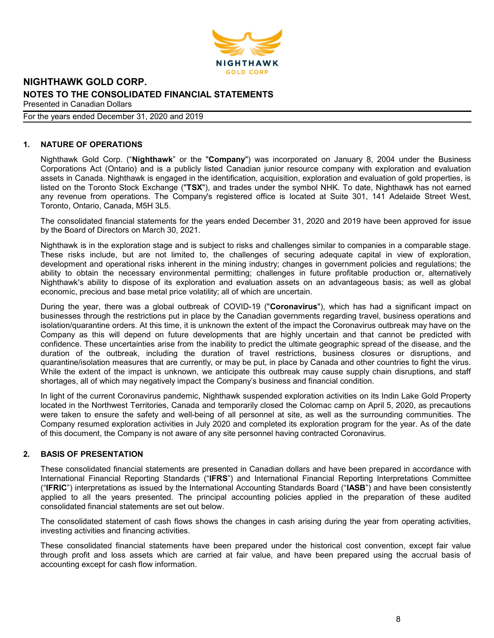

#### For the years ended December 31, 2020 and 2019

### 1. NATURE OF OPERATIONS

Nighthawk Gold Corp. ("Nighthawk" or the "Company") was incorporated on January 8, 2004 under the Business Corporations Act (Ontario) and is a publicly listed Canadian junior resource company with exploration and evaluation assets in Canada. Nighthawk is engaged in the identification, acquisition, exploration and evaluation of gold properties, is listed on the Toronto Stock Exchange ("TSX"), and trades under the symbol NHK. To date, Nighthawk has not earned any revenue from operations. The Company's registered office is located at Suite 301, 141 Adelaide Street West, Toronto, Ontario, Canada, M5H 3L5.

The consolidated financial statements for the years ended December 31, 2020 and 2019 have been approved for issue by the Board of Directors on March 30, 2021.

Nighthawk is in the exploration stage and is subject to risks and challenges similar to companies in a comparable stage. These risks include, but are not limited to, the challenges of securing adequate capital in view of exploration, development and operational risks inherent in the mining industry; changes in government policies and regulations; the ability to obtain the necessary environmental permitting; challenges in future profitable production or, alternatively Nighthawk's ability to dispose of its exploration and evaluation assets on an advantageous basis; as well as global economic, precious and base metal price volatility; all of which are uncertain.

During the year, there was a global outbreak of COVID-19 ("Coronavirus"), which has had a significant impact on businesses through the restrictions put in place by the Canadian governments regarding travel, business operations and isolation/quarantine orders. At this time, it is unknown the extent of the impact the Coronavirus outbreak may have on the Company as this will depend on future developments that are highly uncertain and that cannot be predicted with confidence. These uncertainties arise from the inability to predict the ultimate geographic spread of the disease, and the duration of the outbreak, including the duration of travel restrictions, business closures or disruptions, and quarantine/isolation measures that are currently, or may be put, in place by Canada and other countries to fight the virus. While the extent of the impact is unknown, we anticipate this outbreak may cause supply chain disruptions, and staff shortages, all of which may negatively impact the Company's business and financial condition.

In light of the current Coronavirus pandemic, Nighthawk suspended exploration activities on its Indin Lake Gold Property located in the Northwest Territories, Canada and temporarily closed the Colomac camp on April 5, 2020, as precautions were taken to ensure the safety and well-being of all personnel at site, as well as the surrounding communities. The Company resumed exploration activities in July 2020 and completed its exploration program for the year. As of the date of this document, the Company is not aware of any site personnel having contracted Coronavirus.

# 2. BASIS OF PRESENTATION

These consolidated financial statements are presented in Canadian dollars and have been prepared in accordance with International Financial Reporting Standards ("IFRS") and International Financial Reporting Interpretations Committee ("IFRIC") interpretations as issued by the International Accounting Standards Board ("IASB") and have been consistently applied to all the years presented. The principal accounting policies applied in the preparation of these audited consolidated financial statements are set out below.

The consolidated statement of cash flows shows the changes in cash arising during the year from operating activities, investing activities and financing activities.

These consolidated financial statements have been prepared under the historical cost convention, except fair value through profit and loss assets which are carried at fair value, and have been prepared using the accrual basis of accounting except for cash flow information.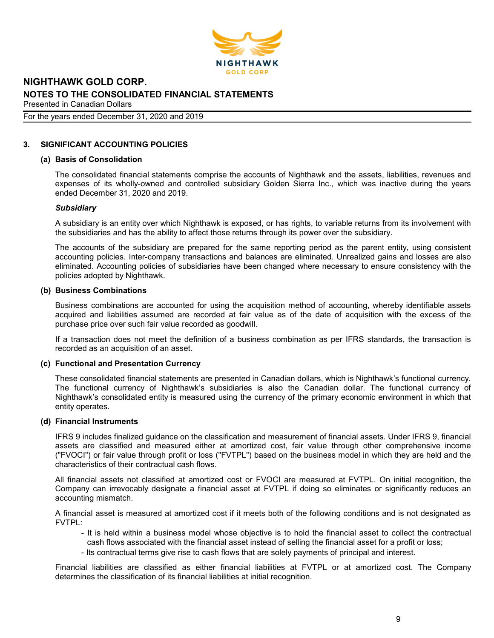

For the years ended December 31, 2020 and 2019

## 3. SIGNIFICANT ACCOUNTING POLICIES

### (a) Basis of Consolidation

The consolidated financial statements comprise the accounts of Nighthawk and the assets, liabilities, revenues and expenses of its wholly-owned and controlled subsidiary Golden Sierra Inc., which was inactive during the years ended December 31, 2020 and 2019.

### **Subsidiary**

A subsidiary is an entity over which Nighthawk is exposed, or has rights, to variable returns from its involvement with the subsidiaries and has the ability to affect those returns through its power over the subsidiary.

The accounts of the subsidiary are prepared for the same reporting period as the parent entity, using consistent accounting policies. Inter-company transactions and balances are eliminated. Unrealized gains and losses are also eliminated. Accounting policies of subsidiaries have been changed where necessary to ensure consistency with the policies adopted by Nighthawk.

#### (b) Business Combinations

Business combinations are accounted for using the acquisition method of accounting, whereby identifiable assets acquired and liabilities assumed are recorded at fair value as of the date of acquisition with the excess of the purchase price over such fair value recorded as goodwill.

If a transaction does not meet the definition of a business combination as per IFRS standards, the transaction is recorded as an acquisition of an asset.

### (c) Functional and Presentation Currency

These consolidated financial statements are presented in Canadian dollars, which is Nighthawk's functional currency. The functional currency of Nighthawk's subsidiaries is also the Canadian dollar. The functional currency of Nighthawk's consolidated entity is measured using the currency of the primary economic environment in which that entity operates.

### (d) Financial Instruments

IFRS 9 includes finalized guidance on the classification and measurement of financial assets. Under IFRS 9, financial assets are classified and measured either at amortized cost, fair value through other comprehensive income ("FVOCI") or fair value through profit or loss ("FVTPL") based on the business model in which they are held and the characteristics of their contractual cash flows.

All financial assets not classified at amortized cost or FVOCI are measured at FVTPL. On initial recognition, the Company can irrevocably designate a financial asset at FVTPL if doing so eliminates or significantly reduces an accounting mismatch.

A financial asset is measured at amortized cost if it meets both of the following conditions and is not designated as FVTPL:

- It is held within a business model whose objective is to hold the financial asset to collect the contractual cash flows associated with the financial asset instead of selling the financial asset for a profit or loss;
- Its contractual terms give rise to cash flows that are solely payments of principal and interest.

Financial liabilities are classified as either financial liabilities at FVTPL or at amortized cost. The Company determines the classification of its financial liabilities at initial recognition.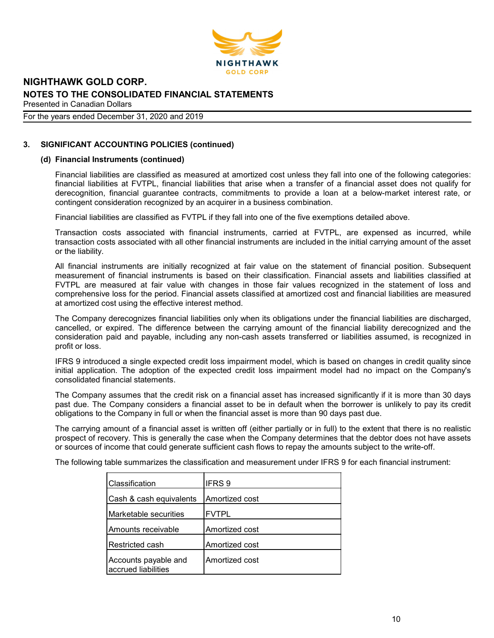

#### For the years ended December 31, 2020 and 2019

## 3. SIGNIFICANT ACCOUNTING POLICIES (continued)

### (d) Financial Instruments (continued)

Financial liabilities are classified as measured at amortized cost unless they fall into one of the following categories: financial liabilities at FVTPL, financial liabilities that arise when a transfer of a financial asset does not qualify for derecognition, financial guarantee contracts, commitments to provide a loan at a below-market interest rate, or contingent consideration recognized by an acquirer in a business combination.

Financial liabilities are classified as FVTPL if they fall into one of the five exemptions detailed above.

Transaction costs associated with financial instruments, carried at FVTPL, are expensed as incurred, while transaction costs associated with all other financial instruments are included in the initial carrying amount of the asset or the liability.

All financial instruments are initially recognized at fair value on the statement of financial position. Subsequent measurement of financial instruments is based on their classification. Financial assets and liabilities classified at FVTPL are measured at fair value with changes in those fair values recognized in the statement of loss and comprehensive loss for the period. Financial assets classified at amortized cost and financial liabilities are measured at amortized cost using the effective interest method.

The Company derecognizes financial liabilities only when its obligations under the financial liabilities are discharged, cancelled, or expired. The difference between the carrying amount of the financial liability derecognized and the consideration paid and payable, including any non-cash assets transferred or liabilities assumed, is recognized in profit or loss.

IFRS 9 introduced a single expected credit loss impairment model, which is based on changes in credit quality since initial application. The adoption of the expected credit loss impairment model had no impact on the Company's consolidated financial statements.

The Company assumes that the credit risk on a financial asset has increased significantly if it is more than 30 days past due. The Company considers a financial asset to be in default when the borrower is unlikely to pay its credit obligations to the Company in full or when the financial asset is more than 90 days past due.

The carrying amount of a financial asset is written off (either partially or in full) to the extent that there is no realistic prospect of recovery. This is generally the case when the Company determines that the debtor does not have assets or sources of income that could generate sufficient cash flows to repay the amounts subject to the write-off.

The following table summarizes the classification and measurement under IFRS 9 for each financial instrument:

| lClassification                             | IFRS 9           |
|---------------------------------------------|------------------|
| Cash & cash equivalents                     | l Amortized cost |
| Marketable securities                       | <b>FVTPL</b>     |
| Amounts receivable                          | Amortized cost   |
| Restricted cash                             | Amortized cost   |
| Accounts payable and<br>accrued liabilities | Amortized cost   |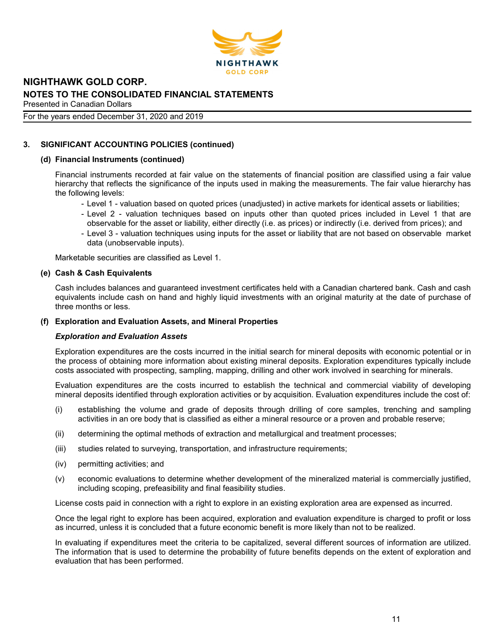

### For the years ended December 31, 2020 and 2019

## 3. SIGNIFICANT ACCOUNTING POLICIES (continued)

## (d) Financial Instruments (continued)

Financial instruments recorded at fair value on the statements of financial position are classified using a fair value hierarchy that reflects the significance of the inputs used in making the measurements. The fair value hierarchy has the following levels:

- Level 1 valuation based on quoted prices (unadjusted) in active markets for identical assets or liabilities;
- Level 2 valuation techniques based on inputs other than quoted prices included in Level 1 that are observable for the asset or liability, either directly (i.e. as prices) or indirectly (i.e. derived from prices); and
- Level 3 valuation techniques using inputs for the asset or liability that are not based on observable market data (unobservable inputs).

Marketable securities are classified as Level 1.

#### (e) Cash & Cash Equivalents

Cash includes balances and guaranteed investment certificates held with a Canadian chartered bank. Cash and cash equivalents include cash on hand and highly liquid investments with an original maturity at the date of purchase of three months or less.

### (f) Exploration and Evaluation Assets, and Mineral Properties

### Exploration and Evaluation Assets

Exploration expenditures are the costs incurred in the initial search for mineral deposits with economic potential or in the process of obtaining more information about existing mineral deposits. Exploration expenditures typically include costs associated with prospecting, sampling, mapping, drilling and other work involved in searching for minerals.

Evaluation expenditures are the costs incurred to establish the technical and commercial viability of developing mineral deposits identified through exploration activities or by acquisition. Evaluation expenditures include the cost of:

- (i) establishing the volume and grade of deposits through drilling of core samples, trenching and sampling activities in an ore body that is classified as either a mineral resource or a proven and probable reserve;
- (ii) determining the optimal methods of extraction and metallurgical and treatment processes;
- (iii) studies related to surveying, transportation, and infrastructure requirements;
- (iv) permitting activities; and
- (v) economic evaluations to determine whether development of the mineralized material is commercially justified, including scoping, prefeasibility and final feasibility studies.

License costs paid in connection with a right to explore in an existing exploration area are expensed as incurred.

Once the legal right to explore has been acquired, exploration and evaluation expenditure is charged to profit or loss as incurred, unless it is concluded that a future economic benefit is more likely than not to be realized.

In evaluating if expenditures meet the criteria to be capitalized, several different sources of information are utilized. The information that is used to determine the probability of future benefits depends on the extent of exploration and evaluation that has been performed.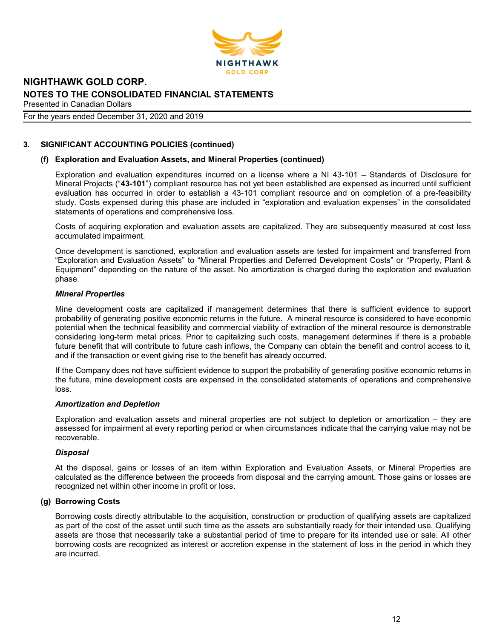

#### For the years ended December 31, 2020 and 2019

## 3. SIGNIFICANT ACCOUNTING POLICIES (continued)

### (f) Exploration and Evaluation Assets, and Mineral Properties (continued)

Exploration and evaluation expenditures incurred on a license where a NI 43-101 – Standards of Disclosure for Mineral Projects ("43-101") compliant resource has not yet been established are expensed as incurred until sufficient evaluation has occurred in order to establish a 43-101 compliant resource and on completion of a pre-feasibility study. Costs expensed during this phase are included in "exploration and evaluation expenses" in the consolidated statements of operations and comprehensive loss.

Costs of acquiring exploration and evaluation assets are capitalized. They are subsequently measured at cost less accumulated impairment.

Once development is sanctioned, exploration and evaluation assets are tested for impairment and transferred from "Exploration and Evaluation Assets" to "Mineral Properties and Deferred Development Costs" or "Property, Plant & Equipment" depending on the nature of the asset. No amortization is charged during the exploration and evaluation phase.

#### Mineral Properties

Mine development costs are capitalized if management determines that there is sufficient evidence to support probability of generating positive economic returns in the future. A mineral resource is considered to have economic potential when the technical feasibility and commercial viability of extraction of the mineral resource is demonstrable considering long-term metal prices. Prior to capitalizing such costs, management determines if there is a probable future benefit that will contribute to future cash inflows, the Company can obtain the benefit and control access to it, and if the transaction or event giving rise to the benefit has already occurred.

If the Company does not have sufficient evidence to support the probability of generating positive economic returns in the future, mine development costs are expensed in the consolidated statements of operations and comprehensive loss.

### Amortization and Depletion

Exploration and evaluation assets and mineral properties are not subject to depletion or amortization – they are assessed for impairment at every reporting period or when circumstances indicate that the carrying value may not be recoverable.

### **Disposal**

At the disposal, gains or losses of an item within Exploration and Evaluation Assets, or Mineral Properties are calculated as the difference between the proceeds from disposal and the carrying amount. Those gains or losses are recognized net within other income in profit or loss.

## (g) Borrowing Costs

Borrowing costs directly attributable to the acquisition, construction or production of qualifying assets are capitalized as part of the cost of the asset until such time as the assets are substantially ready for their intended use. Qualifying assets are those that necessarily take a substantial period of time to prepare for its intended use or sale. All other borrowing costs are recognized as interest or accretion expense in the statement of loss in the period in which they are incurred.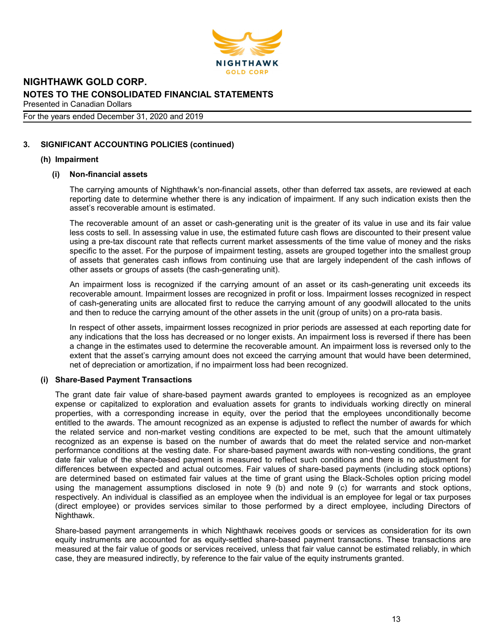

#### For the years ended December 31, 2020 and 2019

## 3. SIGNIFICANT ACCOUNTING POLICIES (continued)

#### (h) Impairment

### (i) Non-financial assets

The carrying amounts of Nighthawk's non-financial assets, other than deferred tax assets, are reviewed at each reporting date to determine whether there is any indication of impairment. If any such indication exists then the asset's recoverable amount is estimated.

The recoverable amount of an asset or cash-generating unit is the greater of its value in use and its fair value less costs to sell. In assessing value in use, the estimated future cash flows are discounted to their present value using a pre-tax discount rate that reflects current market assessments of the time value of money and the risks specific to the asset. For the purpose of impairment testing, assets are grouped together into the smallest group of assets that generates cash inflows from continuing use that are largely independent of the cash inflows of other assets or groups of assets (the cash-generating unit).

An impairment loss is recognized if the carrying amount of an asset or its cash-generating unit exceeds its recoverable amount. Impairment losses are recognized in profit or loss. Impairment losses recognized in respect of cash-generating units are allocated first to reduce the carrying amount of any goodwill allocated to the units and then to reduce the carrying amount of the other assets in the unit (group of units) on a pro-rata basis.

In respect of other assets, impairment losses recognized in prior periods are assessed at each reporting date for any indications that the loss has decreased or no longer exists. An impairment loss is reversed if there has been a change in the estimates used to determine the recoverable amount. An impairment loss is reversed only to the extent that the asset's carrying amount does not exceed the carrying amount that would have been determined, net of depreciation or amortization, if no impairment loss had been recognized.

### (i) Share-Based Payment Transactions

The grant date fair value of share-based payment awards granted to employees is recognized as an employee expense or capitalized to exploration and evaluation assets for grants to individuals working directly on mineral properties, with a corresponding increase in equity, over the period that the employees unconditionally become entitled to the awards. The amount recognized as an expense is adjusted to reflect the number of awards for which the related service and non-market vesting conditions are expected to be met, such that the amount ultimately recognized as an expense is based on the number of awards that do meet the related service and non-market performance conditions at the vesting date. For share-based payment awards with non-vesting conditions, the grant date fair value of the share-based payment is measured to reflect such conditions and there is no adjustment for differences between expected and actual outcomes. Fair values of share-based payments (including stock options) are determined based on estimated fair values at the time of grant using the Black-Scholes option pricing model using the management assumptions disclosed in note 9 (b) and note 9 (c) for warrants and stock options, respectively. An individual is classified as an employee when the individual is an employee for legal or tax purposes (direct employee) or provides services similar to those performed by a direct employee, including Directors of Nighthawk.

Share-based payment arrangements in which Nighthawk receives goods or services as consideration for its own equity instruments are accounted for as equity-settled share-based payment transactions. These transactions are measured at the fair value of goods or services received, unless that fair value cannot be estimated reliably, in which case, they are measured indirectly, by reference to the fair value of the equity instruments granted.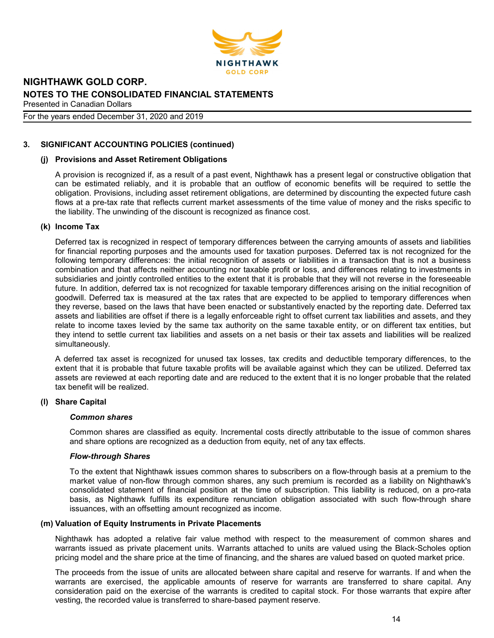

#### For the years ended December 31, 2020 and 2019

## 3. SIGNIFICANT ACCOUNTING POLICIES (continued)

### (j) Provisions and Asset Retirement Obligations

A provision is recognized if, as a result of a past event, Nighthawk has a present legal or constructive obligation that can be estimated reliably, and it is probable that an outflow of economic benefits will be required to settle the obligation. Provisions, including asset retirement obligations, are determined by discounting the expected future cash flows at a pre-tax rate that reflects current market assessments of the time value of money and the risks specific to the liability. The unwinding of the discount is recognized as finance cost.

#### (k) Income Tax

Deferred tax is recognized in respect of temporary differences between the carrying amounts of assets and liabilities for financial reporting purposes and the amounts used for taxation purposes. Deferred tax is not recognized for the following temporary differences: the initial recognition of assets or liabilities in a transaction that is not a business combination and that affects neither accounting nor taxable profit or loss, and differences relating to investments in subsidiaries and jointly controlled entities to the extent that it is probable that they will not reverse in the foreseeable future. In addition, deferred tax is not recognized for taxable temporary differences arising on the initial recognition of goodwill. Deferred tax is measured at the tax rates that are expected to be applied to temporary differences when they reverse, based on the laws that have been enacted or substantively enacted by the reporting date. Deferred tax assets and liabilities are offset if there is a legally enforceable right to offset current tax liabilities and assets, and they relate to income taxes levied by the same tax authority on the same taxable entity, or on different tax entities, but they intend to settle current tax liabilities and assets on a net basis or their tax assets and liabilities will be realized simultaneously.

A deferred tax asset is recognized for unused tax losses, tax credits and deductible temporary differences, to the extent that it is probable that future taxable profits will be available against which they can be utilized. Deferred tax assets are reviewed at each reporting date and are reduced to the extent that it is no longer probable that the related tax benefit will be realized.

#### (l) Share Capital

#### Common shares

Common shares are classified as equity. Incremental costs directly attributable to the issue of common shares and share options are recognized as a deduction from equity, net of any tax effects.

#### Flow-through Shares

To the extent that Nighthawk issues common shares to subscribers on a flow-through basis at a premium to the market value of non-flow through common shares, any such premium is recorded as a liability on Nighthawk's consolidated statement of financial position at the time of subscription. This liability is reduced, on a pro-rata basis, as Nighthawk fulfills its expenditure renunciation obligation associated with such flow-through share issuances, with an offsetting amount recognized as income.

#### (m) Valuation of Equity Instruments in Private Placements

Nighthawk has adopted a relative fair value method with respect to the measurement of common shares and warrants issued as private placement units. Warrants attached to units are valued using the Black-Scholes option pricing model and the share price at the time of financing, and the shares are valued based on quoted market price.

The proceeds from the issue of units are allocated between share capital and reserve for warrants. If and when the warrants are exercised, the applicable amounts of reserve for warrants are transferred to share capital. Any consideration paid on the exercise of the warrants is credited to capital stock. For those warrants that expire after vesting, the recorded value is transferred to share-based payment reserve.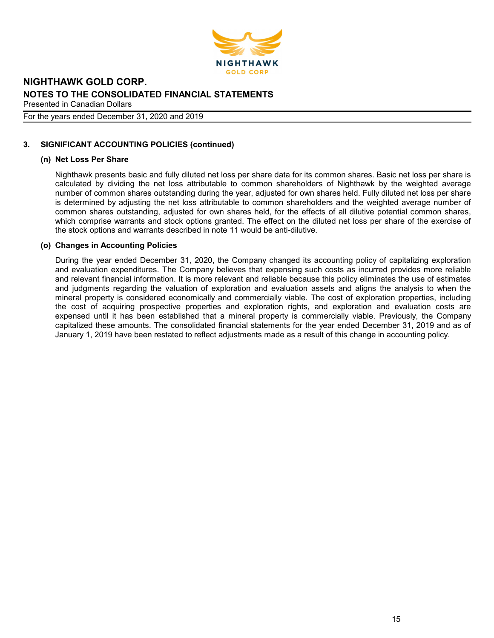

#### For the years ended December 31, 2020 and 2019

## 3. SIGNIFICANT ACCOUNTING POLICIES (continued)

### (n) Net Loss Per Share

Nighthawk presents basic and fully diluted net loss per share data for its common shares. Basic net loss per share is calculated by dividing the net loss attributable to common shareholders of Nighthawk by the weighted average number of common shares outstanding during the year, adjusted for own shares held. Fully diluted net loss per share is determined by adjusting the net loss attributable to common shareholders and the weighted average number of common shares outstanding, adjusted for own shares held, for the effects of all dilutive potential common shares, which comprise warrants and stock options granted. The effect on the diluted net loss per share of the exercise of the stock options and warrants described in note 11 would be anti-dilutive.

#### (o) Changes in Accounting Policies

During the year ended December 31, 2020, the Company changed its accounting policy of capitalizing exploration and evaluation expenditures. The Company believes that expensing such costs as incurred provides more reliable and relevant financial information. It is more relevant and reliable because this policy eliminates the use of estimates and judgments regarding the valuation of exploration and evaluation assets and aligns the analysis to when the mineral property is considered economically and commercially viable. The cost of exploration properties, including the cost of acquiring prospective properties and exploration rights, and exploration and evaluation costs are expensed until it has been established that a mineral property is commercially viable. Previously, the Company capitalized these amounts. The consolidated financial statements for the year ended December 31, 2019 and as of January 1, 2019 have been restated to reflect adjustments made as a result of this change in accounting policy.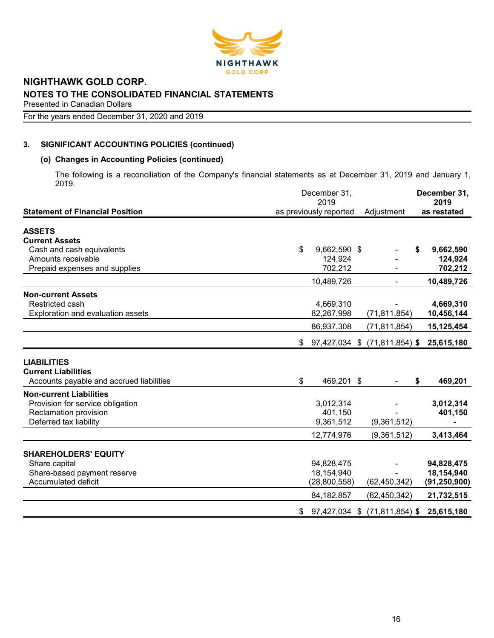

For the years ended December 31, 2020 and 2019

# 3. SIGNIFICANT ACCOUNTING POLICIES (continued)

# (o) Changes in Accounting Policies (continued)

The following is a reconciliation of the Company's financial statements as at December 31, 2019 and January 1, 2019.

|                                                                                                                       |     | December 31,<br>2019              |  |                |    |                      |  |
|-----------------------------------------------------------------------------------------------------------------------|-----|-----------------------------------|--|----------------|----|----------------------|--|
| <b>Statement of Financial Position</b>                                                                                |     | as previously reported            |  | Adjustment     |    | as restated          |  |
| <b>ASSETS</b><br><b>Current Assets</b>                                                                                |     |                                   |  |                |    |                      |  |
| Cash and cash equivalents                                                                                             | \$  | 9,662,590 \$                      |  |                | S  | 9,662,590            |  |
| Amounts receivable                                                                                                    |     | 124,924                           |  |                |    | 124,924              |  |
| Prepaid expenses and supplies                                                                                         |     | 702,212                           |  |                |    | 702,212              |  |
|                                                                                                                       |     | 10,489,726                        |  |                |    | 10,489,726           |  |
| <b>Non-current Assets</b>                                                                                             |     |                                   |  |                |    |                      |  |
| Restricted cash                                                                                                       |     | 4,669,310                         |  |                |    | 4,669,310            |  |
| Exploration and evaluation assets                                                                                     |     | 82,267,998                        |  | (71, 811, 854) |    | 10,456,144           |  |
|                                                                                                                       |     | 86,937,308                        |  | (71, 811, 854) |    | 15,125,454           |  |
|                                                                                                                       | \$. | $97,427,034$ \$ $(71,811,854)$ \$ |  |                |    | 25,615,180           |  |
| <b>LIABILITIES</b><br><b>Current Liabilities</b>                                                                      |     |                                   |  |                |    |                      |  |
| Accounts payable and accrued liabilities                                                                              | \$  | 469,201 \$                        |  |                | \$ | 469,201              |  |
| <b>Non-current Liabilities</b><br>Provision for service obligation<br>Reclamation provision<br>Deferred tax liability |     | 3,012,314<br>401,150<br>9,361,512 |  | (9,361,512)    |    | 3,012,314<br>401,150 |  |
|                                                                                                                       |     | 12,774,976                        |  | (9,361,512)    |    | 3,413,464            |  |
| <b>SHAREHOLDERS' EQUITY</b>                                                                                           |     |                                   |  |                |    |                      |  |
| Share capital                                                                                                         |     | 94,828,475                        |  |                |    | 94,828,475           |  |
| Share-based payment reserve                                                                                           |     | 18,154,940                        |  |                |    | 18,154,940           |  |
| Accumulated deficit                                                                                                   |     | (28, 800, 558)                    |  | (62, 450, 342) |    | (91, 250, 900)       |  |
|                                                                                                                       |     | 84, 182, 857                      |  | (62, 450, 342) |    | 21,732,515           |  |
|                                                                                                                       | \$  | 97,427,034 \$ (71,811,854) \$     |  |                |    | 25,615,180           |  |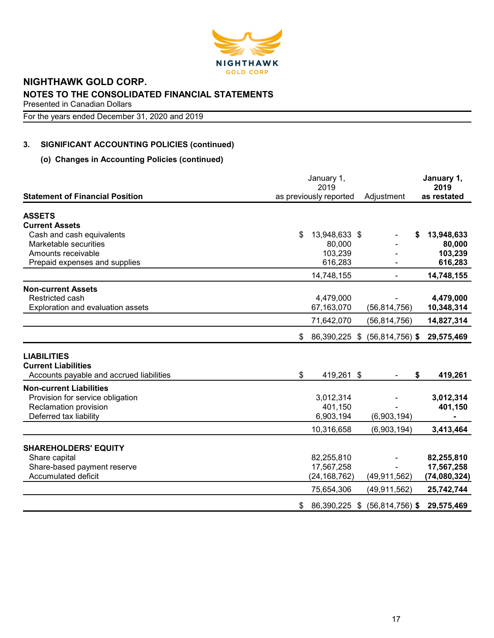

For the years ended December 31, 2020 and 2019

# 3. SIGNIFICANT ACCOUNTING POLICIES (continued)

# (o) Changes in Accounting Policies (continued)

|                                                  | January 1,<br>2019                         | January 1,<br>2019 |
|--------------------------------------------------|--------------------------------------------|--------------------|
| <b>Statement of Financial Position</b>           | as previously reported<br>Adjustment       | as restated        |
| <b>ASSETS</b><br><b>Current Assets</b>           |                                            |                    |
| Cash and cash equivalents                        | \$<br>13,948,633 \$                        | 13,948,633         |
| Marketable securities                            | 80,000                                     | 80,000             |
| Amounts receivable                               | 103,239                                    | 103,239            |
| Prepaid expenses and supplies                    | 616,283                                    | 616,283            |
|                                                  | 14,748,155                                 | 14,748,155         |
| <b>Non-current Assets</b>                        |                                            |                    |
| Restricted cash                                  | 4,479,000                                  | 4,479,000          |
| Exploration and evaluation assets                | 67,163,070<br>(56, 814, 756)               | 10,348,314         |
|                                                  | 71,642,070<br>(56, 814, 756)               | 14,827,314         |
|                                                  | \$<br>86,390,225 \$<br>$(56,814,756)$ \$   | 29,575,469         |
| <b>LIABILITIES</b><br><b>Current Liabilities</b> |                                            |                    |
| Accounts payable and accrued liabilities         | \$<br>419,261 \$                           | \$<br>419,261      |
| <b>Non-current Liabilities</b>                   |                                            |                    |
| Provision for service obligation                 | 3,012,314                                  | 3,012,314          |
| Reclamation provision                            | 401,150                                    | 401,150            |
| Deferred tax liability                           | 6,903,194<br>(6,903,194)                   |                    |
|                                                  | 10,316,658<br>(6,903,194)                  | 3,413,464          |
| <b>SHAREHOLDERS' EQUITY</b>                      |                                            |                    |
| Share capital                                    | 82,255,810                                 | 82,255,810         |
| Share-based payment reserve                      | 17,567,258                                 | 17,567,258         |
| Accumulated deficit                              | (24, 168, 762)<br>(49, 911, 562)           | (74,080,324)       |
|                                                  | 75,654,306<br>(49, 911, 562)               | 25,742,744         |
|                                                  | \$<br>86,390,225 \$<br>$(56, 814, 756)$ \$ | 29,575,469         |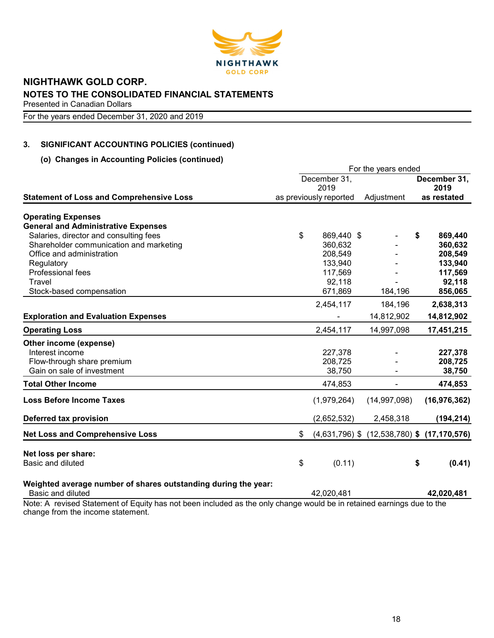

For the years ended December 31, 2020 and 2019

# 3. SIGNIFICANT ACCOUNTING POLICIES (continued)

# (o) Changes in Accounting Policies (continued)

|                                                                | For the years ended |                        |  |              |    |                                  |  |
|----------------------------------------------------------------|---------------------|------------------------|--|--------------|----|----------------------------------|--|
|                                                                |                     | December 31,           |  | December 31, |    |                                  |  |
|                                                                |                     | 2019                   |  |              |    | 2019                             |  |
| <b>Statement of Loss and Comprehensive Loss</b>                |                     | as previously reported |  | Adjustment   |    | as restated                      |  |
| <b>Operating Expenses</b>                                      |                     |                        |  |              |    |                                  |  |
| <b>General and Administrative Expenses</b>                     |                     |                        |  |              |    |                                  |  |
| Salaries, director and consulting fees                         | \$                  | 869,440 \$             |  |              | \$ | 869,440                          |  |
| Shareholder communication and marketing                        |                     | 360,632                |  |              |    | 360,632                          |  |
| Office and administration                                      |                     | 208,549                |  |              |    | 208,549                          |  |
| Regulatory                                                     |                     | 133,940                |  |              |    | 133,940                          |  |
| Professional fees                                              |                     | 117,569                |  |              |    | 117,569                          |  |
| Travel                                                         |                     | 92,118                 |  |              |    | 92,118                           |  |
| Stock-based compensation                                       |                     | 671,869                |  | 184,196      |    | 856,065                          |  |
|                                                                |                     | 2,454,117              |  | 184,196      |    | 2,638,313                        |  |
| <b>Exploration and Evaluation Expenses</b>                     |                     |                        |  | 14,812,902   |    | 14,812,902                       |  |
| <b>Operating Loss</b>                                          |                     | 2,454,117              |  | 14,997,098   |    | 17,451,215                       |  |
| Other income (expense)                                         |                     |                        |  |              |    |                                  |  |
| Interest income                                                |                     | 227,378                |  |              |    | 227,378                          |  |
| Flow-through share premium                                     |                     | 208,725                |  |              |    | 208,725                          |  |
| Gain on sale of investment                                     |                     | 38,750                 |  |              |    | 38,750                           |  |
| <b>Total Other Income</b>                                      |                     | 474,853                |  |              |    | 474,853                          |  |
| <b>Loss Before Income Taxes</b>                                |                     | (1,979,264)            |  | (14,997,098) |    | (16, 976, 362)                   |  |
| Deferred tax provision                                         |                     | (2,652,532)            |  | 2,458,318    |    | (194, 214)                       |  |
| <b>Net Loss and Comprehensive Loss</b>                         | \$                  | $(4,631,796)$ \$       |  |              |    | $(12,538,780)$ \$ $(17,170,576)$ |  |
| Net loss per share:                                            |                     |                        |  |              |    |                                  |  |
| Basic and diluted                                              | \$                  | (0.11)                 |  |              | \$ | (0.41)                           |  |
| Weighted average number of shares outstanding during the year: |                     |                        |  |              |    |                                  |  |
| Basic and diluted                                              |                     | 42,020,481             |  |              |    | 42,020,481                       |  |

Note: A revised Statement of Equity has not been included as the only change would be in retained earnings due to the change from the income statement.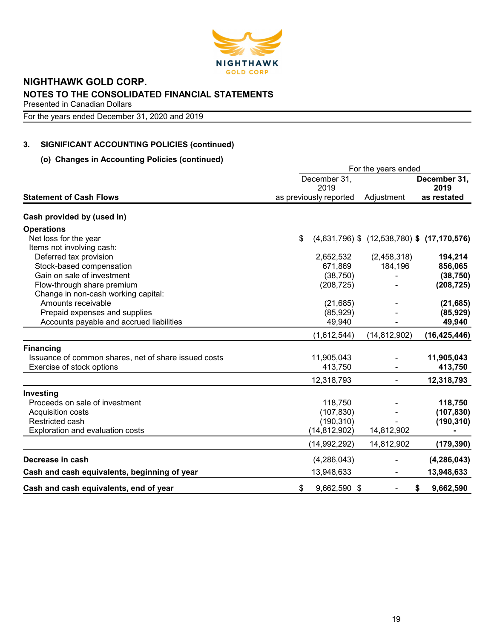

For the years ended December 31, 2020 and 2019

# 3. SIGNIFICANT ACCOUNTING POLICIES (continued)

## (o) Changes in Accounting Policies (continued)

|                                                      | For the years ended |                        |                |                                                   |  |  |  |  |
|------------------------------------------------------|---------------------|------------------------|----------------|---------------------------------------------------|--|--|--|--|
|                                                      |                     | December 31,           |                | December 31,                                      |  |  |  |  |
|                                                      |                     | 2019                   |                | 2019                                              |  |  |  |  |
| <b>Statement of Cash Flows</b>                       |                     | as previously reported | Adjustment     | as restated                                       |  |  |  |  |
| Cash provided by (used in)                           |                     |                        |                |                                                   |  |  |  |  |
| <b>Operations</b>                                    |                     |                        |                |                                                   |  |  |  |  |
| Net loss for the year                                | \$                  |                        |                | $(4,631,796)$ \$ $(12,538,780)$ \$ $(17,170,576)$ |  |  |  |  |
| Items not involving cash:                            |                     |                        |                |                                                   |  |  |  |  |
| Deferred tax provision                               |                     | 2,652,532              | (2,458,318)    | 194,214                                           |  |  |  |  |
| Stock-based compensation                             |                     | 671,869                | 184,196        | 856,065                                           |  |  |  |  |
| Gain on sale of investment                           |                     | (38, 750)              |                | (38, 750)                                         |  |  |  |  |
| Flow-through share premium                           |                     | (208, 725)             |                | (208, 725)                                        |  |  |  |  |
| Change in non-cash working capital:                  |                     |                        |                |                                                   |  |  |  |  |
| Amounts receivable                                   |                     | (21, 685)              |                | (21, 685)                                         |  |  |  |  |
| Prepaid expenses and supplies                        |                     | (85, 929)              |                | (85, 929)                                         |  |  |  |  |
| Accounts payable and accrued liabilities             |                     | 49,940                 |                | 49,940                                            |  |  |  |  |
|                                                      |                     | (1,612,544)            | (14, 812, 902) | (16, 425, 446)                                    |  |  |  |  |
| <b>Financing</b>                                     |                     |                        |                |                                                   |  |  |  |  |
| Issuance of common shares, net of share issued costs |                     | 11,905,043             |                | 11,905,043                                        |  |  |  |  |
| Exercise of stock options                            |                     | 413,750                |                | 413,750                                           |  |  |  |  |
|                                                      |                     | 12,318,793             |                | 12,318,793                                        |  |  |  |  |
| Investing                                            |                     |                        |                |                                                   |  |  |  |  |
| Proceeds on sale of investment                       |                     | 118,750                |                | 118,750                                           |  |  |  |  |
| Acquisition costs                                    |                     | (107, 830)             |                | (107, 830)                                        |  |  |  |  |
| Restricted cash                                      |                     | (190, 310)             |                | (190, 310)                                        |  |  |  |  |
| Exploration and evaluation costs                     |                     | (14, 812, 902)         | 14,812,902     |                                                   |  |  |  |  |
|                                                      |                     | (14, 992, 292)         | 14,812,902     | (179, 390)                                        |  |  |  |  |
| Decrease in cash                                     |                     | (4,286,043)            |                | (4, 286, 043)                                     |  |  |  |  |
| Cash and cash equivalents, beginning of year         |                     | 13,948,633             |                | 13,948,633                                        |  |  |  |  |
| Cash and cash equivalents, end of year               | \$                  | 9,662,590 \$           |                | \$<br>9,662,590                                   |  |  |  |  |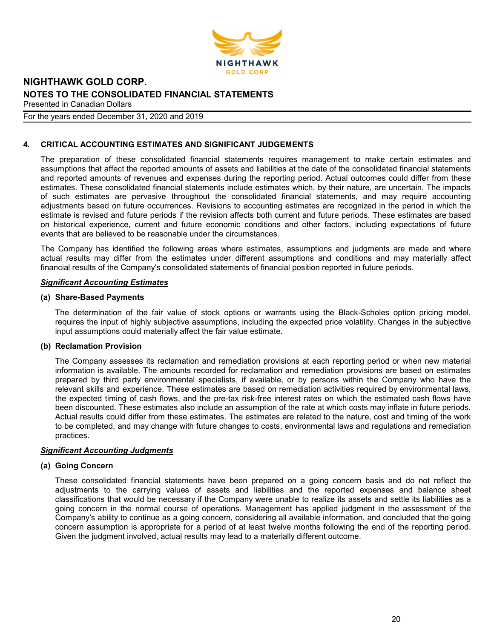

#### For the years ended December 31, 2020 and 2019

## 4. CRITICAL ACCOUNTING ESTIMATES AND SIGNIFICANT JUDGEMENTS

The preparation of these consolidated financial statements requires management to make certain estimates and assumptions that affect the reported amounts of assets and liabilities at the date of the consolidated financial statements and reported amounts of revenues and expenses during the reporting period. Actual outcomes could differ from these estimates. These consolidated financial statements include estimates which, by their nature, are uncertain. The impacts of such estimates are pervasive throughout the consolidated financial statements, and may require accounting adjustments based on future occurrences. Revisions to accounting estimates are recognized in the period in which the estimate is revised and future periods if the revision affects both current and future periods. These estimates are based on historical experience, current and future economic conditions and other factors, including expectations of future events that are believed to be reasonable under the circumstances.

The Company has identified the following areas where estimates, assumptions and judgments are made and where actual results may differ from the estimates under different assumptions and conditions and may materially affect financial results of the Company's consolidated statements of financial position reported in future periods.

### Significant Accounting Estimates

#### (a) Share-Based Payments

The determination of the fair value of stock options or warrants using the Black-Scholes option pricing model, requires the input of highly subjective assumptions, including the expected price volatility. Changes in the subjective input assumptions could materially affect the fair value estimate.

### (b) Reclamation Provision

The Company assesses its reclamation and remediation provisions at each reporting period or when new material information is available. The amounts recorded for reclamation and remediation provisions are based on estimates prepared by third party environmental specialists, if available, or by persons within the Company who have the relevant skills and experience. These estimates are based on remediation activities required by environmental laws, the expected timing of cash flows, and the pre-tax risk-free interest rates on which the estimated cash flows have been discounted. These estimates also include an assumption of the rate at which costs may inflate in future periods. Actual results could differ from these estimates. The estimates are related to the nature, cost and timing of the work to be completed, and may change with future changes to costs, environmental laws and regulations and remediation practices.

### Significant Accounting Judgments

### (a) Going Concern

These consolidated financial statements have been prepared on a going concern basis and do not reflect the adjustments to the carrying values of assets and liabilities and the reported expenses and balance sheet classifications that would be necessary if the Company were unable to realize its assets and settle its liabilities as a going concern in the normal course of operations. Management has applied judgment in the assessment of the Company's ability to continue as a going concern, considering all available information, and concluded that the going concern assumption is appropriate for a period of at least twelve months following the end of the reporting period. Given the judgment involved, actual results may lead to a materially different outcome.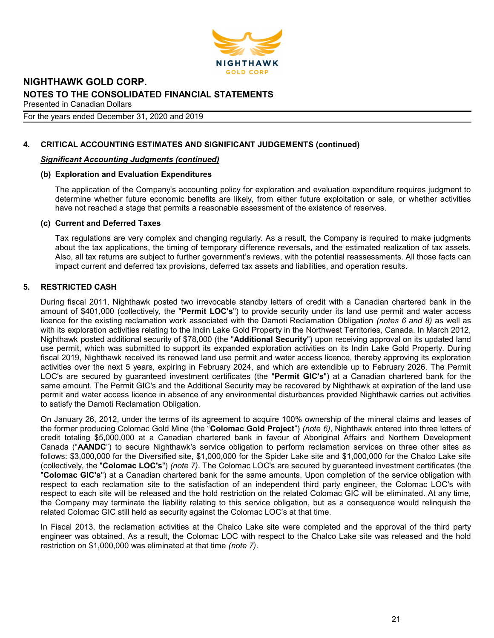

#### For the years ended December 31, 2020 and 2019

## 4. CRITICAL ACCOUNTING ESTIMATES AND SIGNIFICANT JUDGEMENTS (continued)

### Significant Accounting Judgments (continued)

#### (b) Exploration and Evaluation Expenditures

The application of the Company's accounting policy for exploration and evaluation expenditure requires judgment to determine whether future economic benefits are likely, from either future exploitation or sale, or whether activities have not reached a stage that permits a reasonable assessment of the existence of reserves.

#### (c) Current and Deferred Taxes

Tax regulations are very complex and changing regularly. As a result, the Company is required to make judgments about the tax applications, the timing of temporary difference reversals, and the estimated realization of tax assets. Also, all tax returns are subject to further government's reviews, with the potential reassessments. All those facts can impact current and deferred tax provisions, deferred tax assets and liabilities, and operation results.

### 5. RESTRICTED CASH

During fiscal 2011, Nighthawk posted two irrevocable standby letters of credit with a Canadian chartered bank in the amount of \$401,000 (collectively, the "Permit LOC's") to provide security under its land use permit and water access licence for the existing reclamation work associated with the Damoti Reclamation Obligation (notes 6 and 8) as well as with its exploration activities relating to the Indin Lake Gold Property in the Northwest Territories, Canada. In March 2012, Nighthawk posted additional security of \$78,000 (the "Additional Security") upon receiving approval on its updated land use permit, which was submitted to support its expanded exploration activities on its Indin Lake Gold Property. During fiscal 2019, Nighthawk received its renewed land use permit and water access licence, thereby approving its exploration activities over the next 5 years, expiring in February 2024, and which are extendible up to February 2026. The Permit LOC's are secured by guaranteed investment certificates (the "Permit GIC's") at a Canadian chartered bank for the same amount. The Permit GIC's and the Additional Security may be recovered by Nighthawk at expiration of the land use permit and water access licence in absence of any environmental disturbances provided Nighthawk carries out activities to satisfy the Damoti Reclamation Obligation.

On January 26, 2012, under the terms of its agreement to acquire 100% ownership of the mineral claims and leases of the former producing Colomac Gold Mine (the "Colomac Gold Project") (note 6), Nighthawk entered into three letters of credit totaling \$5,000,000 at a Canadian chartered bank in favour of Aboriginal Affairs and Northern Development Canada ("AANDC") to secure Nighthawk's service obligation to perform reclamation services on three other sites as follows: \$3,000,000 for the Diversified site, \$1,000,000 for the Spider Lake site and \$1,000,000 for the Chalco Lake site (collectively, the "Colomac LOC's") (note 7). The Colomac LOC's are secured by guaranteed investment certificates (the "Colomac GIC's") at a Canadian chartered bank for the same amounts. Upon completion of the service obligation with respect to each reclamation site to the satisfaction of an independent third party engineer, the Colomac LOC's with respect to each site will be released and the hold restriction on the related Colomac GIC will be eliminated. At any time, the Company may terminate the liability relating to this service obligation, but as a consequence would relinquish the related Colomac GIC still held as security against the Colomac LOC's at that time.

In Fiscal 2013, the reclamation activities at the Chalco Lake site were completed and the approval of the third party engineer was obtained. As a result, the Colomac LOC with respect to the Chalco Lake site was released and the hold restriction on \$1,000,000 was eliminated at that time (note 7).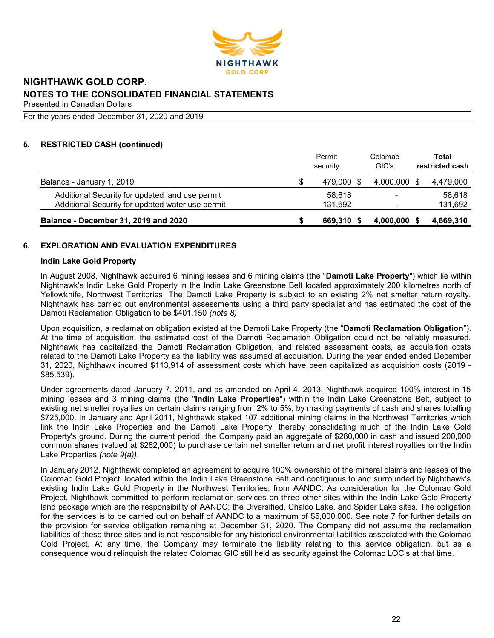

For the years ended December 31, 2020 and 2019

# 5. RESTRICTED CASH (continued)

|                                                                                                     |  | Permit<br>security | Colomac<br>GIC's | Total<br>restricted cash |  |
|-----------------------------------------------------------------------------------------------------|--|--------------------|------------------|--------------------------|--|
| Balance - January 1, 2019                                                                           |  | 479.000<br>- \$    | 4,000,000 \$     | 4.479.000                |  |
| Additional Security for updated land use permit<br>Additional Security for updated water use permit |  | 58.618<br>131.692  |                  | 58.618<br>131,692        |  |
| Balance - December 31, 2019 and 2020                                                                |  | 669,310 \$         | 4,000,000        | 4,669,310                |  |

# 6. EXPLORATION AND EVALUATION EXPENDITURES

## Indin Lake Gold Property

In August 2008, Nighthawk acquired 6 mining leases and 6 mining claims (the "Damoti Lake Property") which lie within Nighthawk's Indin Lake Gold Property in the Indin Lake Greenstone Belt located approximately 200 kilometres north of Yellowknife, Northwest Territories. The Damoti Lake Property is subject to an existing 2% net smelter return royalty. Nighthawk has carried out environmental assessments using a third party specialist and has estimated the cost of the Damoti Reclamation Obligation to be \$401,150 (note 8).

Upon acquisition, a reclamation obligation existed at the Damoti Lake Property (the "Damoti Reclamation Obligation"). At the time of acquisition, the estimated cost of the Damoti Reclamation Obligation could not be reliably measured. Nighthawk has capitalized the Damoti Reclamation Obligation, and related assessment costs, as acquisition costs related to the Damoti Lake Property as the liability was assumed at acquisition. During the year ended ended December 31, 2020, Nighthawk incurred \$113,914 of assessment costs which have been capitalized as acquisition costs (2019 - \$85,539).

Under agreements dated January 7, 2011, and as amended on April 4, 2013, Nighthawk acquired 100% interest in 15 mining leases and 3 mining claims (the "Indin Lake Properties") within the Indin Lake Greenstone Belt, subject to existing net smelter royalties on certain claims ranging from 2% to 5%, by making payments of cash and shares totalling \$725,000. In January and April 2011, Nighthawk staked 107 additional mining claims in the Northwest Territories which link the Indin Lake Properties and the Damoti Lake Property, thereby consolidating much of the Indin Lake Gold Property's ground. During the current period, the Company paid an aggregate of \$280,000 in cash and issued 200,000 common shares (valued at \$282,000) to purchase certain net smelter return and net profit interest royalties on the Indin Lake Properties (note 9(a)).

In January 2012, Nighthawk completed an agreement to acquire 100% ownership of the mineral claims and leases of the Colomac Gold Project, located within the Indin Lake Greenstone Belt and contiguous to and surrounded by Nighthawk's existing Indin Lake Gold Property in the Northwest Territories, from AANDC. As consideration for the Colomac Gold Project, Nighthawk committed to perform reclamation services on three other sites within the Indin Lake Gold Property land package which are the responsibility of AANDC: the Diversified, Chalco Lake, and Spider Lake sites. The obligation for the services is to be carried out on behalf of AANDC to a maximum of \$5,000,000. See note 7 for further details on the provision for service obligation remaining at December 31, 2020. The Company did not assume the reclamation liabilities of these three sites and is not responsible for any historical environmental liabilities associated with the Colomac Gold Project. At any time, the Company may terminate the liability relating to this service obligation, but as a consequence would relinquish the related Colomac GIC still held as security against the Colomac LOC's at that time.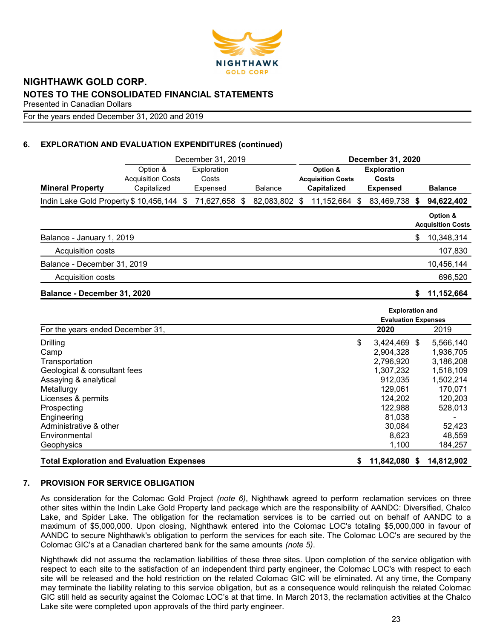

For the years ended December 31, 2020 and 2019

# 6. EXPLORATION AND EVALUATION EXPENDITURES (continued)

| December 31, 2019                                |                          |               |  | <b>December 31, 2020</b> |  |                          |    |                                    |    |                          |
|--------------------------------------------------|--------------------------|---------------|--|--------------------------|--|--------------------------|----|------------------------------------|----|--------------------------|
|                                                  | Option &                 | Exploration   |  |                          |  | Option &                 |    | <b>Exploration</b>                 |    |                          |
|                                                  | <b>Acquisition Costs</b> | Costs         |  |                          |  | <b>Acquisition Costs</b> |    | Costs                              |    |                          |
| <b>Mineral Property</b>                          | Capitalized              | Expensed      |  | <b>Balance</b>           |  | Capitalized              |    | <b>Expensed</b>                    |    | <b>Balance</b>           |
| Indin Lake Gold Property \$ 10,456,144 \$        |                          | 71,627,658 \$ |  | 82,083,802 \$            |  | 11,152,664 \$            |    | 83,469,738 \$                      |    | 94,622,402               |
|                                                  |                          |               |  |                          |  |                          |    |                                    |    | Option &                 |
|                                                  |                          |               |  |                          |  |                          |    |                                    |    | <b>Acquisition Costs</b> |
| Balance - January 1, 2019                        |                          |               |  |                          |  |                          |    |                                    | \$ | 10,348,314               |
| Acquisition costs                                |                          |               |  |                          |  |                          |    |                                    |    | 107,830                  |
| Balance - December 31, 2019                      |                          |               |  |                          |  |                          |    |                                    |    | 10,456,144               |
| Acquisition costs                                |                          |               |  |                          |  |                          |    |                                    |    | 696,520                  |
| Balance - December 31, 2020                      |                          |               |  |                          |  |                          |    |                                    | \$ | 11,152,664               |
|                                                  |                          |               |  |                          |  |                          |    |                                    |    |                          |
|                                                  |                          |               |  |                          |  |                          |    | <b>Exploration and</b>             |    |                          |
| For the years ended December 31,                 |                          |               |  |                          |  |                          |    | <b>Evaluation Expenses</b><br>2020 |    | 2019                     |
|                                                  |                          |               |  |                          |  |                          |    |                                    |    |                          |
| Drilling                                         |                          |               |  |                          |  |                          | \$ | 3,424,469 \$                       |    | 5,566,140                |
| Camp                                             |                          |               |  |                          |  |                          |    | 2,904,328                          |    | 1,936,705                |
| Transportation                                   |                          |               |  |                          |  |                          |    | 2,796,920                          |    | 3,186,208                |
| Geological & consultant fees                     |                          |               |  |                          |  |                          |    | 1,307,232                          |    | 1,518,109                |
| Assaying & analytical                            |                          |               |  |                          |  |                          |    | 912,035                            |    | 1,502,214                |
| Metallurgy                                       |                          |               |  |                          |  |                          |    | 129,061                            |    | 170,071                  |
| Licenses & permits                               |                          |               |  |                          |  |                          |    | 124,202                            |    | 120,203                  |
| Prospecting                                      |                          |               |  |                          |  |                          |    | 122,988                            |    | 528,013                  |
| Engineering                                      |                          |               |  |                          |  |                          |    | 81,038                             |    |                          |
| Administrative & other                           |                          |               |  |                          |  |                          |    | 30,084                             |    | 52,423                   |
| Environmental                                    |                          |               |  |                          |  |                          |    | 8,623                              |    | 48,559                   |
| Geophysics                                       |                          |               |  |                          |  |                          |    | 1,100                              |    | 184,257                  |
| <b>Total Exploration and Evaluation Expenses</b> |                          |               |  |                          |  |                          | \$ | 11,842,080                         | \$ | 14,812,902               |

# 7. PROVISION FOR SERVICE OBLIGATION

As consideration for the Colomac Gold Project (note 6), Nighthawk agreed to perform reclamation services on three other sites within the Indin Lake Gold Property land package which are the responsibility of AANDC: Diversified, Chalco Lake, and Spider Lake. The obligation for the reclamation services is to be carried out on behalf of AANDC to a maximum of \$5,000,000. Upon closing, Nighthawk entered into the Colomac LOC's totaling \$5,000,000 in favour of AANDC to secure Nighthawk's obligation to perform the services for each site. The Colomac LOC's are secured by the Colomac GIC's at a Canadian chartered bank for the same amounts (note 5).

Nighthawk did not assume the reclamation liabilities of these three sites. Upon completion of the service obligation with respect to each site to the satisfaction of an independent third party engineer, the Colomac LOC's with respect to each site will be released and the hold restriction on the related Colomac GIC will be eliminated. At any time, the Company may terminate the liability relating to this service obligation, but as a consequence would relinquish the related Colomac GIC still held as security against the Colomac LOC's at that time. In March 2013, the reclamation activities at the Chalco Lake site were completed upon approvals of the third party engineer.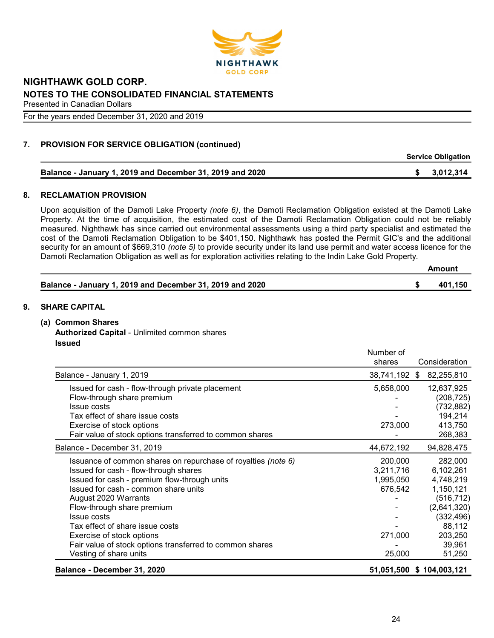

#### For the years ended December 31, 2020 and 2019

# 7. PROVISION FOR SERVICE OBLIGATION (continued)

|                                                          | <b>Service Obligation</b> |
|----------------------------------------------------------|---------------------------|
| Balance - January 1, 2019 and December 31, 2019 and 2020 | 3.012.314                 |

## 8. RECLAMATION PROVISION

Upon acquisition of the Damoti Lake Property (note 6), the Damoti Reclamation Obligation existed at the Damoti Lake Property. At the time of acquisition, the estimated cost of the Damoti Reclamation Obligation could not be reliably measured. Nighthawk has since carried out environmental assessments using a third party specialist and estimated the cost of the Damoti Reclamation Obligation to be \$401,150. Nighthawk has posted the Permit GIC's and the additional security for an amount of \$669,310 (note 5) to provide security under its land use permit and water access licence for the Damoti Reclamation Obligation as well as for exploration activities relating to the Indin Lake Gold Property.

|                                                          | Amount  |
|----------------------------------------------------------|---------|
| Balance - January 1, 2019 and December 31, 2019 and 2020 | 401.150 |

## 9. SHARE CAPITAL

## (a) Common Shares

Authorized Capital - Unlimited common shares Issued

|                                                               | Number of     |                           |
|---------------------------------------------------------------|---------------|---------------------------|
|                                                               | shares        | Consideration             |
| Balance - January 1, 2019                                     | 38,741,192 \$ | 82,255,810                |
| Issued for cash - flow-through private placement              | 5,658,000     | 12,637,925                |
| Flow-through share premium                                    |               | (208,725)                 |
| <b>Issue costs</b>                                            |               | (732, 882)                |
| Tax effect of share issue costs                               |               | 194,214                   |
| Exercise of stock options                                     | 273,000       | 413,750                   |
| Fair value of stock options transferred to common shares      |               | 268,383                   |
| Balance - December 31, 2019                                   | 44,672,192    | 94,828,475                |
| Issuance of common shares on repurchase of royalties (note 6) | 200,000       | 282,000                   |
| Issued for cash - flow-through shares                         | 3,211,716     | 6,102,261                 |
| Issued for cash - premium flow-through units                  | 1,995,050     | 4,748,219                 |
| Issued for cash - common share units                          | 676,542       | 1,150,121                 |
| August 2020 Warrants                                          |               | (516, 712)                |
| Flow-through share premium                                    |               | (2,641,320)               |
| <b>Issue costs</b>                                            |               | (332, 496)                |
| Tax effect of share issue costs                               |               | 88,112                    |
| Exercise of stock options                                     | 271,000       | 203,250                   |
| Fair value of stock options transferred to common shares      |               | 39,961                    |
| Vesting of share units                                        | 25,000        | 51,250                    |
| Balance - December 31, 2020                                   |               | 51,051,500 \$ 104,003,121 |

Number of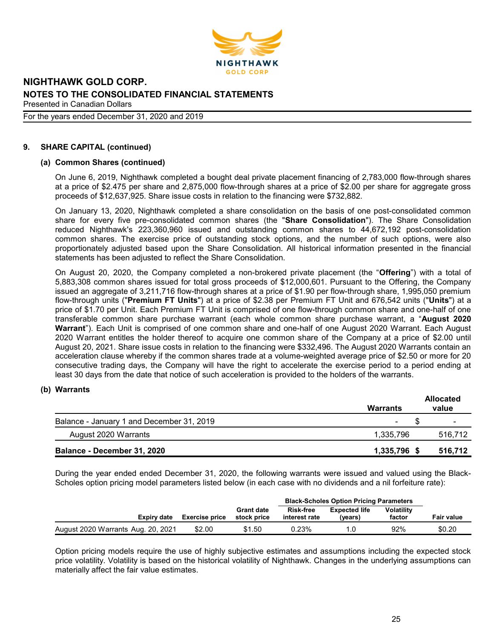

For the years ended December 31, 2020 and 2019

### 9. SHARE CAPITAL (continued)

#### (a) Common Shares (continued)

On June 6, 2019, Nighthawk completed a bought deal private placement financing of 2,783,000 flow-through shares at a price of \$2.475 per share and 2,875,000 flow-through shares at a price of \$2.00 per share for aggregate gross proceeds of \$12,637,925. Share issue costs in relation to the financing were \$732,882.

On January 13, 2020, Nighthawk completed a share consolidation on the basis of one post-consolidated common share for every five pre-consolidated common shares (the "Share Consolidation"). The Share Consolidation reduced Nighthawk's 223,360,960 issued and outstanding common shares to 44,672,192 post-consolidation common shares. The exercise price of outstanding stock options, and the number of such options, were also proportionately adjusted based upon the Share Consolidation. All historical information presented in the financial statements has been adjusted to reflect the Share Consolidation.

On August 20, 2020, the Company completed a non-brokered private placement (the "Offering") with a total of 5,883,308 common shares issued for total gross proceeds of \$12,000,601. Pursuant to the Offering, the Company issued an aggregate of 3,211,716 flow-through shares at a price of \$1.90 per flow-through share, 1,995,050 premium flow-through units ("Premium FT Units") at a price of \$2.38 per Premium FT Unit and 676,542 units ("Units") at a price of \$1.70 per Unit. Each Premium FT Unit is comprised of one flow-through common share and one-half of one transferable common share purchase warrant (each whole common share purchase warrant, a "August 2020 Warrant"). Each Unit is comprised of one common share and one-half of one August 2020 Warrant. Each August 2020 Warrant entitles the holder thereof to acquire one common share of the Company at a price of \$2.00 until August 20, 2021. Share issue costs in relation to the financing were \$332,496. The August 2020 Warrants contain an acceleration clause whereby if the common shares trade at a volume-weighted average price of \$2.50 or more for 20 consecutive trading days, the Company will have the right to accelerate the exercise period to a period ending at least 30 days from the date that notice of such acceleration is provided to the holders of the warrants.

## (b) Warrants

|                                           | <b>Warrants</b> | <b>Allocated</b><br>value |
|-------------------------------------------|-----------------|---------------------------|
| Balance - January 1 and December 31, 2019 | $\sim$          | ۰                         |
| August 2020 Warrants                      | 1,335,796       | 516,712                   |
| Balance - December 31, 2020               | 1,335,796       | 516,712                   |

During the year ended ended December 31, 2020, the following warrants were issued and valued using the Black-Scholes option pricing model parameters listed below (in each case with no dividends and a nil forfeiture rate):

|                                    |             |                       | <b>Black-Scholes Option Pricing Parameters</b> |                                   |                                 |                             |                   |
|------------------------------------|-------------|-----------------------|------------------------------------------------|-----------------------------------|---------------------------------|-----------------------------|-------------------|
|                                    | Expiry date | <b>Exercise price</b> | <b>Grant date</b><br>stock price               | <b>Risk-free</b><br>interest rate | <b>Expected life</b><br>(vears) | <b>Volatility</b><br>factor | <b>Fair value</b> |
| August 2020 Warrants Aug. 20, 2021 |             | \$2.00                | \$1.50                                         | 0.23%                             | 1.0                             | 92%                         | \$0.20            |

Option pricing models require the use of highly subjective estimates and assumptions including the expected stock price volatility. Volatility is based on the historical volatility of Nighthawk. Changes in the underlying assumptions can materially affect the fair value estimates.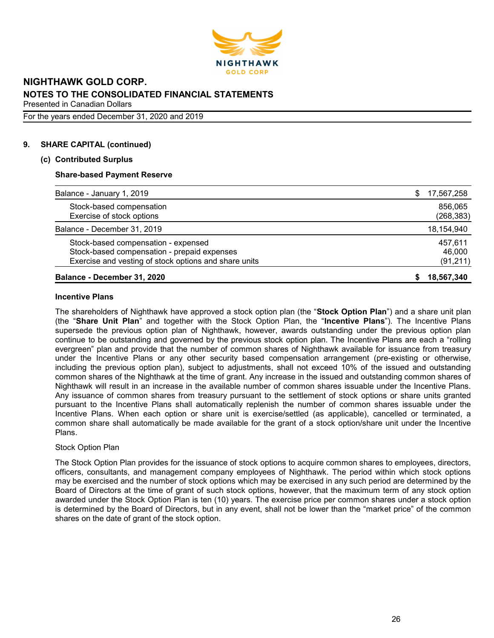

For the years ended December 31, 2020 and 2019

## 9. SHARE CAPITAL (continued)

### (c) Contributed Surplus

## Share-based Payment Reserve

| Balance - January 1, 2019                                                                                                                   | 17,567,258<br>SS.              |
|---------------------------------------------------------------------------------------------------------------------------------------------|--------------------------------|
| Stock-based compensation<br>Exercise of stock options                                                                                       | 856,065<br>(268, 383)          |
| Balance - December 31, 2019                                                                                                                 | 18,154,940                     |
| Stock-based compensation - expensed<br>Stock-based compensation - prepaid expenses<br>Exercise and vesting of stock options and share units | 457,611<br>46,000<br>(91, 211) |
| Balance - December 31, 2020                                                                                                                 | 18,567,340                     |

## Incentive Plans

The shareholders of Nighthawk have approved a stock option plan (the "Stock Option Plan") and a share unit plan (the "Share Unit Plan" and together with the Stock Option Plan, the "Incentive Plans"). The Incentive Plans supersede the previous option plan of Nighthawk, however, awards outstanding under the previous option plan continue to be outstanding and governed by the previous stock option plan. The Incentive Plans are each a "rolling evergreen" plan and provide that the number of common shares of Nighthawk available for issuance from treasury under the Incentive Plans or any other security based compensation arrangement (pre-existing or otherwise, including the previous option plan), subject to adjustments, shall not exceed 10% of the issued and outstanding common shares of the Nighthawk at the time of grant. Any increase in the issued and outstanding common shares of Nighthawk will result in an increase in the available number of common shares issuable under the Incentive Plans. Any issuance of common shares from treasury pursuant to the settlement of stock options or share units granted pursuant to the Incentive Plans shall automatically replenish the number of common shares issuable under the Incentive Plans. When each option or share unit is exercise/settled (as applicable), cancelled or terminated, a common share shall automatically be made available for the grant of a stock option/share unit under the Incentive Plans.

## Stock Option Plan

The Stock Option Plan provides for the issuance of stock options to acquire common shares to employees, directors, officers, consultants, and management company employees of Nighthawk. The period within which stock options may be exercised and the number of stock options which may be exercised in any such period are determined by the Board of Directors at the time of grant of such stock options, however, that the maximum term of any stock option awarded under the Stock Option Plan is ten (10) years. The exercise price per common shares under a stock option is determined by the Board of Directors, but in any event, shall not be lower than the "market price" of the common shares on the date of grant of the stock option.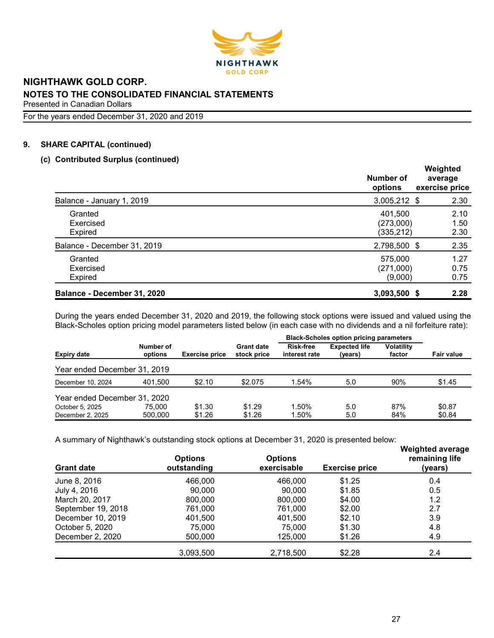

# For the years ended December 31, 2020 and 2019

## 9. SHARE CAPITAL (continued)

## (c) Contributed Surplus (continued)

|                                        | <b>Number of</b><br>options        | Weighted<br>average<br>exercise price |
|----------------------------------------|------------------------------------|---------------------------------------|
| Balance - January 1, 2019              | 3,005,212 \$                       | 2.30                                  |
| Granted<br>Exercised<br>Expired        | 401.500<br>(273,000)<br>(335, 212) | 2.10<br>1.50<br>2.30                  |
| Balance - December 31, 2019            | 2,798,500 \$                       | 2.35                                  |
| Granted<br>Exercised<br><b>Expired</b> | 575,000<br>(271,000)<br>(9,000)    | 1.27<br>0.75<br>0.75                  |
| Balance - December 31, 2020            | 3,093,500 \$                       | 2.28                                  |

During the years ended December 31, 2020 and 2019, the following stock options were issued and valued using the Black-Scholes option pricing model parameters listed below (in each case with no dividends and a nil forfeiture rate):

|                              |                      |                       |                                  | <b>Black-Scholes option pricing parameters</b> |                                 |                             |                   |
|------------------------------|----------------------|-----------------------|----------------------------------|------------------------------------------------|---------------------------------|-----------------------------|-------------------|
| Expiry date                  | Number of<br>options | <b>Exercise price</b> | <b>Grant date</b><br>stock price | Risk-free<br>interest rate                     | <b>Expected life</b><br>(years) | <b>Volatility</b><br>factor | <b>Fair value</b> |
| Year ended December 31, 2019 |                      |                       |                                  |                                                |                                 |                             |                   |
| December 10, 2024            | 401.500              | \$2.10                | \$2.075                          | 1.54%                                          | 5.0                             | 90%                         | \$1.45            |
| Year ended December 31, 2020 |                      |                       |                                  |                                                |                                 |                             |                   |
| October 5, 2025              | 75.000               | \$1.30                | \$1.29                           | 1.50%                                          | 5.0                             | 87%                         | \$0.87            |
| December 2, 2025             | 500.000              | \$1.26                | \$1.26                           | 1.50%                                          | 5.0                             | 84%                         | \$0.84            |

A summary of Nighthawk's outstanding stock options at December 31, 2020 is presented below:

| <b>Grant date</b>  | <b>Options</b><br>outstanding | <b>Options</b><br>exercisable | <b>Exercise price</b> | <b>Weighted average</b><br>remaining life<br>(years) |
|--------------------|-------------------------------|-------------------------------|-----------------------|------------------------------------------------------|
| June 8, 2016       | 466,000                       | 466,000                       | \$1.25                | 0.4                                                  |
| July 4, 2016       | 90.000                        | 90.000                        | \$1.85                | 0.5                                                  |
| March 20, 2017     | 800,000                       | 800,000                       | \$4.00                | 1.2                                                  |
| September 19, 2018 | 761.000                       | 761,000                       | \$2.00                | 2.7                                                  |
| December 10, 2019  | 401,500                       | 401.500                       | \$2.10                | 3.9                                                  |
| October 5, 2020    | 75,000                        | 75.000                        | \$1.30                | 4.8                                                  |
| December 2, 2020   | 500,000                       | 125,000                       | \$1.26                | 4.9                                                  |
|                    | 3,093,500                     | 2,718,500                     | \$2.28                | 2.4                                                  |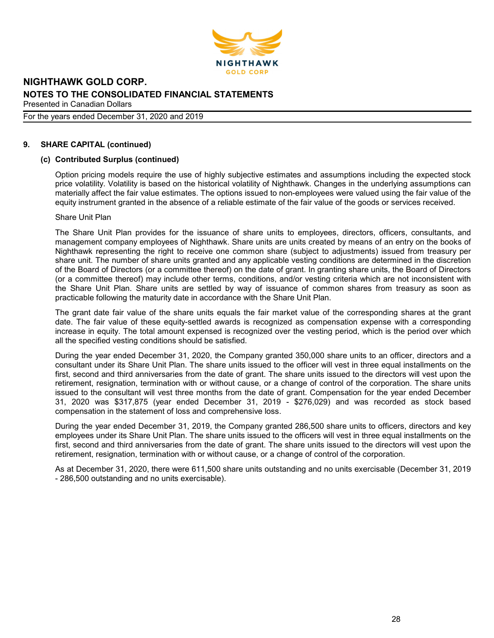

#### For the years ended December 31, 2020 and 2019

#### 9. SHARE CAPITAL (continued)

#### (c) Contributed Surplus (continued)

Option pricing models require the use of highly subjective estimates and assumptions including the expected stock price volatility. Volatility is based on the historical volatility of Nighthawk. Changes in the underlying assumptions can materially affect the fair value estimates. The options issued to non-employees were valued using the fair value of the equity instrument granted in the absence of a reliable estimate of the fair value of the goods or services received.

#### Share Unit Plan

The Share Unit Plan provides for the issuance of share units to employees, directors, officers, consultants, and management company employees of Nighthawk. Share units are units created by means of an entry on the books of Nighthawk representing the right to receive one common share (subject to adjustments) issued from treasury per share unit. The number of share units granted and any applicable vesting conditions are determined in the discretion of the Board of Directors (or a committee thereof) on the date of grant. In granting share units, the Board of Directors (or a committee thereof) may include other terms, conditions, and/or vesting criteria which are not inconsistent with the Share Unit Plan. Share units are settled by way of issuance of common shares from treasury as soon as practicable following the maturity date in accordance with the Share Unit Plan.

The grant date fair value of the share units equals the fair market value of the corresponding shares at the grant date. The fair value of these equity-settled awards is recognized as compensation expense with a corresponding increase in equity. The total amount expensed is recognized over the vesting period, which is the period over which all the specified vesting conditions should be satisfied.

During the year ended December 31, 2020, the Company granted 350,000 share units to an officer, directors and a consultant under its Share Unit Plan. The share units issued to the officer will vest in three equal installments on the first, second and third anniversaries from the date of grant. The share units issued to the directors will vest upon the retirement, resignation, termination with or without cause, or a change of control of the corporation. The share units issued to the consultant will vest three months from the date of grant. Compensation for the year ended December 31, 2020 was \$317,875 (year ended December 31, 2019 - \$276,029) and was recorded as stock based compensation in the statement of loss and comprehensive loss.

During the year ended December 31, 2019, the Company granted 286,500 share units to officers, directors and key employees under its Share Unit Plan. The share units issued to the officers will vest in three equal installments on the first, second and third anniversaries from the date of grant. The share units issued to the directors will vest upon the retirement, resignation, termination with or without cause, or a change of control of the corporation.

As at December 31, 2020, there were 611,500 share units outstanding and no units exercisable (December 31, 2019 - 286,500 outstanding and no units exercisable).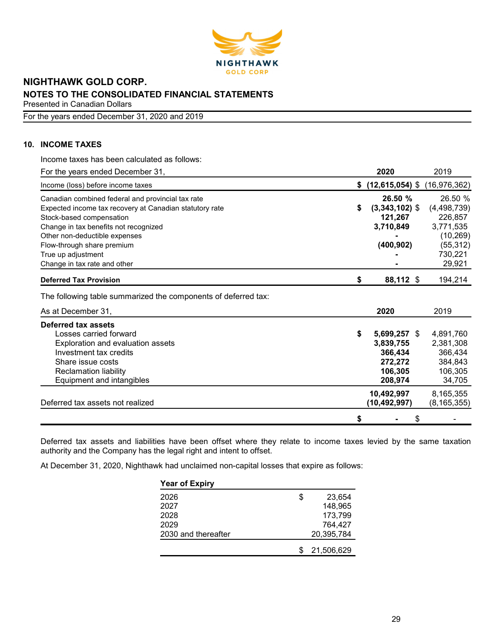

# NIGHTHAWK GOLD CORP. NOTES TO THE CONSOLIDATED FINANCIAL STATEMENTS

Presented in Canadian Dollars

For the years ended December 31, 2020 and 2019

### 10. INCOME TAXES

Income taxes has been calculated as follows:

| For the years ended December 31,                               | 2020                   | 2019           |
|----------------------------------------------------------------|------------------------|----------------|
| Income (loss) before income taxes                              | \$(12,615,054)         | (16, 976, 362) |
| Canadian combined federal and provincial tax rate              | 26.50 %                | 26.50 %        |
| Expected income tax recovery at Canadian statutory rate        | \$<br>$(3,343,102)$ \$ | (4,498,739)    |
| Stock-based compensation                                       | 121,267                | 226,857        |
| Change in tax benefits not recognized                          | 3,710,849              | 3,771,535      |
| Other non-deductible expenses                                  |                        | (10, 269)      |
| Flow-through share premium                                     | (400, 902)             | (55, 312)      |
| True up adjustment                                             |                        | 730,221        |
| Change in tax rate and other                                   |                        | 29,921         |
| <b>Deferred Tax Provision</b>                                  | \$<br>88,112 \$        | 194,214        |
| The following table summarized the components of deferred tax: |                        |                |
| As at December 31,                                             | 2020                   | 2019           |
| Deferred tax assets                                            |                        |                |
| Losses carried forward                                         | \$<br>5,699,257 \$     | 4,891,760      |
| Exploration and evaluation assets                              | 3,839,755              | 2,381,308      |
| Investment tax credits                                         | 366,434                | 366,434        |
| Share issue costs                                              | 272,272                | 384,843        |
| <b>Reclamation liability</b>                                   | 106,305                | 106,305        |
| Equipment and intangibles                                      | 208,974                | 34,705         |
|                                                                | 10,492,997             | 8,165,355      |
| Deferred tax assets not realized                               | (10, 492, 997)         | (8, 165, 355)  |
|                                                                | \$<br>\$               |                |

Deferred tax assets and liabilities have been offset where they relate to income taxes levied by the same taxation authority and the Company has the legal right and intent to offset.

At December 31, 2020, Nighthawk had unclaimed non-capital losses that expire as follows:

| \$<br>23.654 |
|--------------|
| 148,965      |
| 173,799      |
| 764,427      |
| 20,395,784   |
| 21,506,629   |
|              |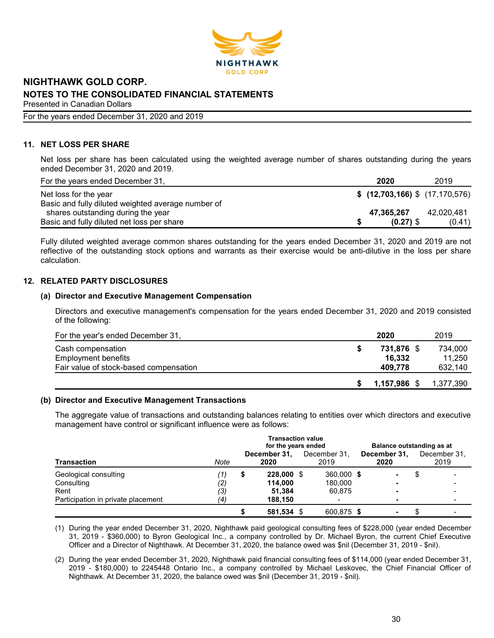

# NIGHTHAWK GOLD CORP. NOTES TO THE CONSOLIDATED FINANCIAL STATEMENTS

Presented in Canadian Dollars

## For the years ended December 31, 2020 and 2019

### 11. NET LOSS PER SHARE

Net loss per share has been calculated using the weighted average number of shares outstanding during the years ended December 31, 2020 and 2019.

| For the years ended December 31,                   | 2020                              | 2019       |
|----------------------------------------------------|-----------------------------------|------------|
| Net loss for the year                              | $$$ (12,703,166) $$$ (17,170,576) |            |
| Basic and fully diluted weighted average number of |                                   |            |
| shares outstanding during the year                 | 47,365,267                        | 42.020.481 |
| Basic and fully diluted net loss per share         | $(0.27)$ \$                       | (0.41)     |

Fully diluted weighted average common shares outstanding for the years ended December 31, 2020 and 2019 are not reflective of the outstanding stock options and warrants as their exercise would be anti-dilutive in the loss per share calculation.

## 12. RELATED PARTY DISCLOSURES

#### (a) Director and Executive Management Compensation

Directors and executive management's compensation for the years ended December 31, 2020 and 2019 consisted of the following:

| For the year's ended December 31,      | 2020         | 2019      |
|----------------------------------------|--------------|-----------|
| Cash compensation                      | 731.876 \$   | 734,000   |
| <b>Employment benefits</b>             | 16.332       | 11.250    |
| Fair value of stock-based compensation | 409.778      | 632,140   |
|                                        | 1,157,986 \$ | 1,377,390 |

#### (b) Director and Executive Management Transactions

The aggregate value of transactions and outstanding balances relating to entities over which directors and executive management have control or significant influence were as follows:

| <b>Transaction</b>                 |                   | <b>Transaction value</b><br>for the years ended |                      |  |                          | Balance outstanding as at |                      |  |                      |
|------------------------------------|-------------------|-------------------------------------------------|----------------------|--|--------------------------|---------------------------|----------------------|--|----------------------|
|                                    | Note              |                                                 | December 31,<br>2020 |  | December 31,<br>2019     |                           | December 31,<br>2020 |  | December 31.<br>2019 |
| Geological consulting              | '1)               | D                                               | 228,000 \$           |  | 360,000 \$               |                           | ۰                    |  |                      |
| Consulting                         | $\left( 2\right)$ |                                                 | 114.000              |  | 180.000                  |                           | -                    |  |                      |
| Rent                               | (3)               |                                                 | 51.384               |  | 60.875                   |                           | -                    |  |                      |
| Participation in private placement | (4)               |                                                 | 188,150              |  | $\overline{\phantom{0}}$ |                           | -                    |  |                      |
|                                    |                   |                                                 | 581.534 \$           |  | 600.875 \$               |                           | -                    |  |                      |

(1) During the year ended December 31, 2020, Nighthawk paid geological consulting fees of \$228,000 (year ended December 31, 2019 - \$360,000) to Byron Geological Inc., a company controlled by Dr. Michael Byron, the current Chief Executive Officer and a Director of Nighthawk. At December 31, 2020, the balance owed was \$nil (December 31, 2019 - \$nil).

(2) During the year ended December 31, 2020, Nighthawk paid financial consulting fees of \$114,000 (year ended December 31, 2019 - \$180,000) to 2245448 Ontario Inc., a company controlled by Michael Leskovec, the Chief Financial Officer of Nighthawk. At December 31, 2020, the balance owed was \$nil (December 31, 2019 - \$nil).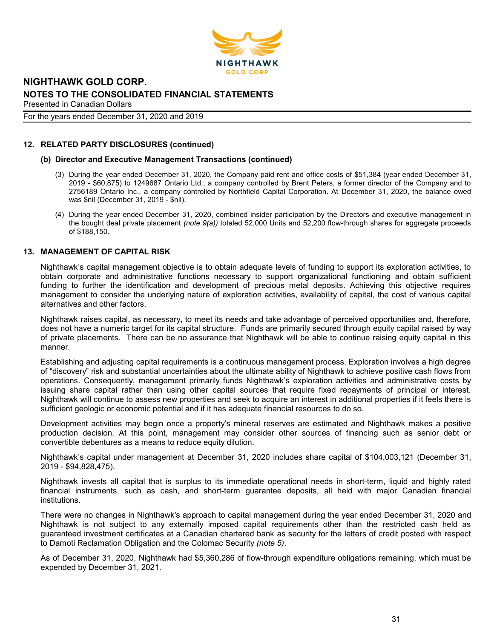

#### For the years ended December 31, 2020 and 2019

#### 12. RELATED PARTY DISCLOSURES (continued)

#### (b) Director and Executive Management Transactions (continued)

- (3) During the year ended December 31, 2020, the Company paid rent and office costs of \$51,384 (year ended December 31, 2019 - \$60,875) to 1249687 Ontario Ltd., a company controlled by Brent Peters, a former director of the Company and to 2756189 Ontario Inc., a company controlled by Northfield Capital Corporation. At December 31, 2020, the balance owed was \$nil (December 31, 2019 - \$nil).
- (4) During the year ended December 31, 2020, combined insider participation by the Directors and executive management in the bought deal private placement *(note 9(a))* totaled 52,000 Units and 52,200 flow-through shares for aggregate proceeds of \$188,150.

## 13. MANAGEMENT OF CAPITAL RISK

Nighthawk's capital management objective is to obtain adequate levels of funding to support its exploration activities, to obtain corporate and administrative functions necessary to support organizational functioning and obtain sufficient funding to further the identification and development of precious metal deposits. Achieving this objective requires management to consider the underlying nature of exploration activities, availability of capital, the cost of various capital alternatives and other factors.

Nighthawk raises capital, as necessary, to meet its needs and take advantage of perceived opportunities and, therefore, does not have a numeric target for its capital structure. Funds are primarily secured through equity capital raised by way of private placements. There can be no assurance that Nighthawk will be able to continue raising equity capital in this manner.

Establishing and adjusting capital requirements is a continuous management process. Exploration involves a high degree of "discovery" risk and substantial uncertainties about the ultimate ability of Nighthawk to achieve positive cash flows from operations. Consequently, management primarily funds Nighthawk's exploration activities and administrative costs by issuing share capital rather than using other capital sources that require fixed repayments of principal or interest. Nighthawk will continue to assess new properties and seek to acquire an interest in additional properties if it feels there is sufficient geologic or economic potential and if it has adequate financial resources to do so.

Development activities may begin once a property's mineral reserves are estimated and Nighthawk makes a positive production decision. At this point, management may consider other sources of financing such as senior debt or convertible debentures as a means to reduce equity dilution.

Nighthawk's capital under management at December 31, 2020 includes share capital of \$104,003,121 (December 31, 2019 - \$94,828,475).

Nighthawk invests all capital that is surplus to its immediate operational needs in short-term, liquid and highly rated financial instruments, such as cash, and short-term guarantee deposits, all held with major Canadian financial institutions.

There were no changes in Nighthawk's approach to capital management during the year ended December 31, 2020 and Nighthawk is not subject to any externally imposed capital requirements other than the restricted cash held as guaranteed investment certificates at a Canadian chartered bank as security for the letters of credit posted with respect to Damoti Reclamation Obligation and the Colomac Security (note 5).

As of December 31, 2020, Nighthawk had \$5,360,286 of flow-through expenditure obligations remaining, which must be expended by December 31, 2021.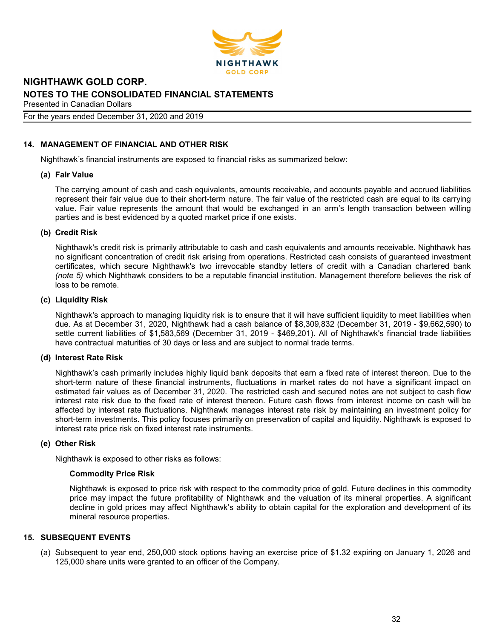

#### For the years ended December 31, 2020 and 2019

## 14. MANAGEMENT OF FINANCIAL AND OTHER RISK

Nighthawk's financial instruments are exposed to financial risks as summarized below:

#### (a) Fair Value

The carrying amount of cash and cash equivalents, amounts receivable, and accounts payable and accrued liabilities represent their fair value due to their short-term nature. The fair value of the restricted cash are equal to its carrying value. Fair value represents the amount that would be exchanged in an arm's length transaction between willing parties and is best evidenced by a quoted market price if one exists.

#### (b) Credit Risk

Nighthawk's credit risk is primarily attributable to cash and cash equivalents and amounts receivable. Nighthawk has no significant concentration of credit risk arising from operations. Restricted cash consists of guaranteed investment certificates, which secure Nighthawk's two irrevocable standby letters of credit with a Canadian chartered bank (note 5) which Nighthawk considers to be a reputable financial institution. Management therefore believes the risk of loss to be remote.

#### (c) Liquidity Risk

Nighthawk's approach to managing liquidity risk is to ensure that it will have sufficient liquidity to meet liabilities when due. As at December 31, 2020, Nighthawk had a cash balance of \$8,309,832 (December 31, 2019 - \$9,662,590) to settle current liabilities of \$1,583,569 (December 31, 2019 - \$469,201). All of Nighthawk's financial trade liabilities have contractual maturities of 30 days or less and are subject to normal trade terms.

### (d) Interest Rate Risk

Nighthawk's cash primarily includes highly liquid bank deposits that earn a fixed rate of interest thereon. Due to the short-term nature of these financial instruments, fluctuations in market rates do not have a significant impact on estimated fair values as of December 31, 2020. The restricted cash and secured notes are not subject to cash flow interest rate risk due to the fixed rate of interest thereon. Future cash flows from interest income on cash will be affected by interest rate fluctuations. Nighthawk manages interest rate risk by maintaining an investment policy for short-term investments. This policy focuses primarily on preservation of capital and liquidity. Nighthawk is exposed to interest rate price risk on fixed interest rate instruments.

### (e) Other Risk

Nighthawk is exposed to other risks as follows:

#### Commodity Price Risk

Nighthawk is exposed to price risk with respect to the commodity price of gold. Future declines in this commodity price may impact the future profitability of Nighthawk and the valuation of its mineral properties. A significant decline in gold prices may affect Nighthawk's ability to obtain capital for the exploration and development of its mineral resource properties.

## 15. SUBSEQUENT EVENTS

(a) Subsequent to year end, 250,000 stock options having an exercise price of \$1.32 expiring on January 1, 2026 and 125,000 share units were granted to an officer of the Company.